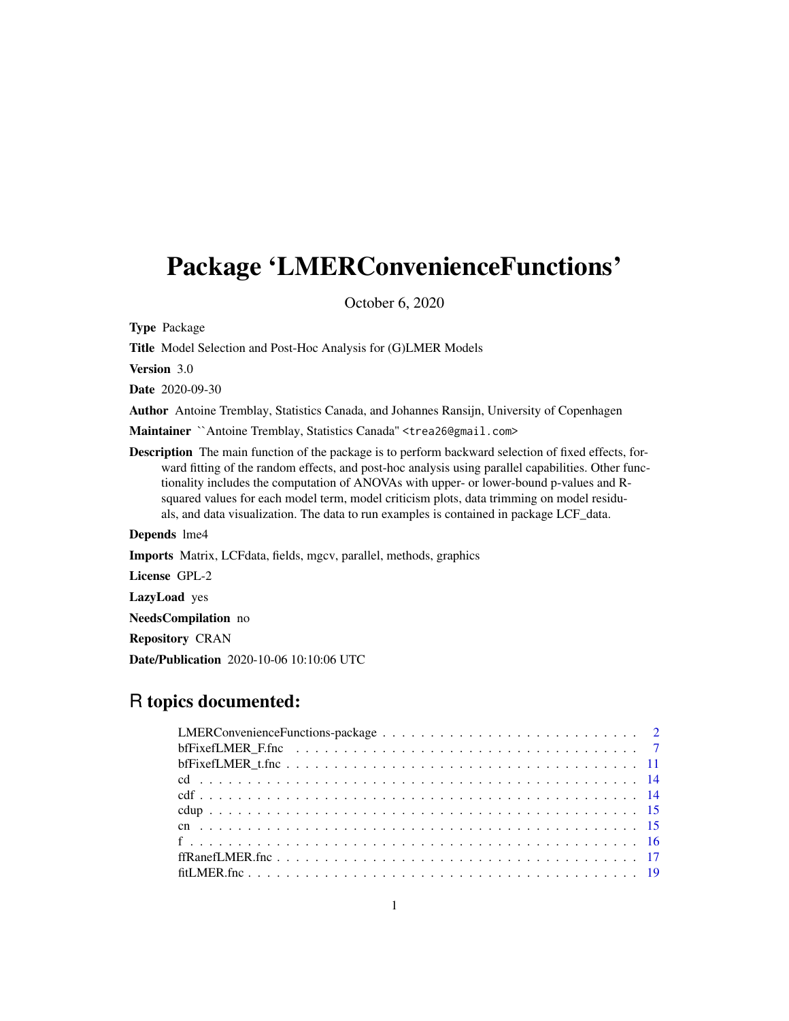# <span id="page-0-0"></span>Package 'LMERConvenienceFunctions'

October 6, 2020

Type Package

Title Model Selection and Post-Hoc Analysis for (G)LMER Models

Version 3.0

Date 2020-09-30

Author Antoine Tremblay, Statistics Canada, and Johannes Ransijn, University of Copenhagen

Maintainer `Antoine Tremblay, Statistics Canada" <trea26@gmail.com>

Description The main function of the package is to perform backward selection of fixed effects, forward fitting of the random effects, and post-hoc analysis using parallel capabilities. Other functionality includes the computation of ANOVAs with upper- or lower-bound p-values and Rsquared values for each model term, model criticism plots, data trimming on model residuals, and data visualization. The data to run examples is contained in package LCF\_data.

Depends lme4

Imports Matrix, LCFdata, fields, mgcv, parallel, methods, graphics

License GPL-2

LazyLoad yes

NeedsCompilation no

Repository CRAN

Date/Publication 2020-10-06 10:10:06 UTC

# R topics documented:

| bfFixefLMER_F.fnc $\dots \dots \dots \dots \dots \dots \dots \dots \dots \dots \dots \dots \dots \dots \dots$ |
|---------------------------------------------------------------------------------------------------------------|
|                                                                                                               |
|                                                                                                               |
|                                                                                                               |
|                                                                                                               |
|                                                                                                               |
|                                                                                                               |
|                                                                                                               |
|                                                                                                               |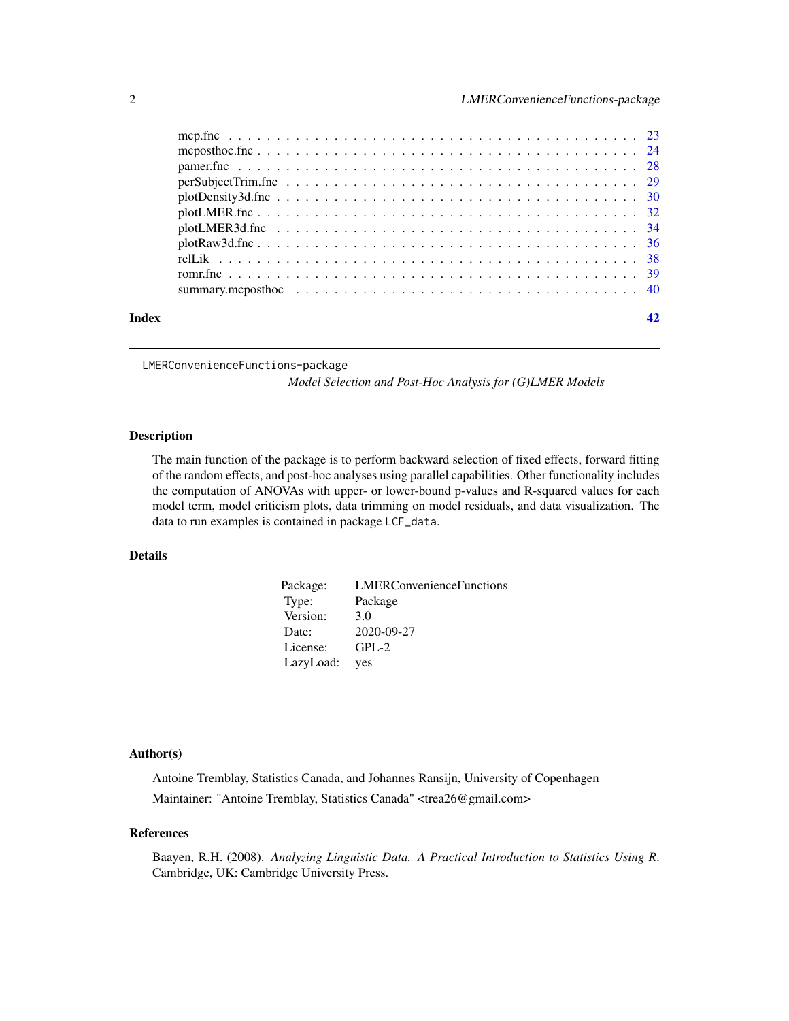<span id="page-1-0"></span>

| Index |                                                                                                                     |  |
|-------|---------------------------------------------------------------------------------------------------------------------|--|
|       |                                                                                                                     |  |
|       |                                                                                                                     |  |
|       |                                                                                                                     |  |
|       |                                                                                                                     |  |
|       |                                                                                                                     |  |
|       |                                                                                                                     |  |
|       |                                                                                                                     |  |
|       | $perSubject Trim.fnc \ldots \ldots \ldots \ldots \ldots \ldots \ldots \ldots \ldots \ldots \ldots \ldots \ldots 29$ |  |
|       |                                                                                                                     |  |
|       |                                                                                                                     |  |
|       |                                                                                                                     |  |

LMERConvenienceFunctions-package

*Model Selection and Post-Hoc Analysis for (G)LMER Models*

#### Description

The main function of the package is to perform backward selection of fixed effects, forward fitting of the random effects, and post-hoc analyses using parallel capabilities. Other functionality includes the computation of ANOVAs with upper- or lower-bound p-values and R-squared values for each model term, model criticism plots, data trimming on model residuals, and data visualization. The data to run examples is contained in package LCF\_data.

# Details

| Package:  | <b>LMERConvenienceFunctions</b> |
|-----------|---------------------------------|
| Type:     | Package                         |
| Version:  | 3.0                             |
| Date:     | 2020-09-27                      |
| License:  | $GPL-2$                         |
| LazyLoad: | yes                             |

#### Author(s)

Antoine Tremblay, Statistics Canada, and Johannes Ransijn, University of Copenhagen Maintainer: "Antoine Tremblay, Statistics Canada" <trea26@gmail.com>

# References

Baayen, R.H. (2008). *Analyzing Linguistic Data. A Practical Introduction to Statistics Using R*. Cambridge, UK: Cambridge University Press.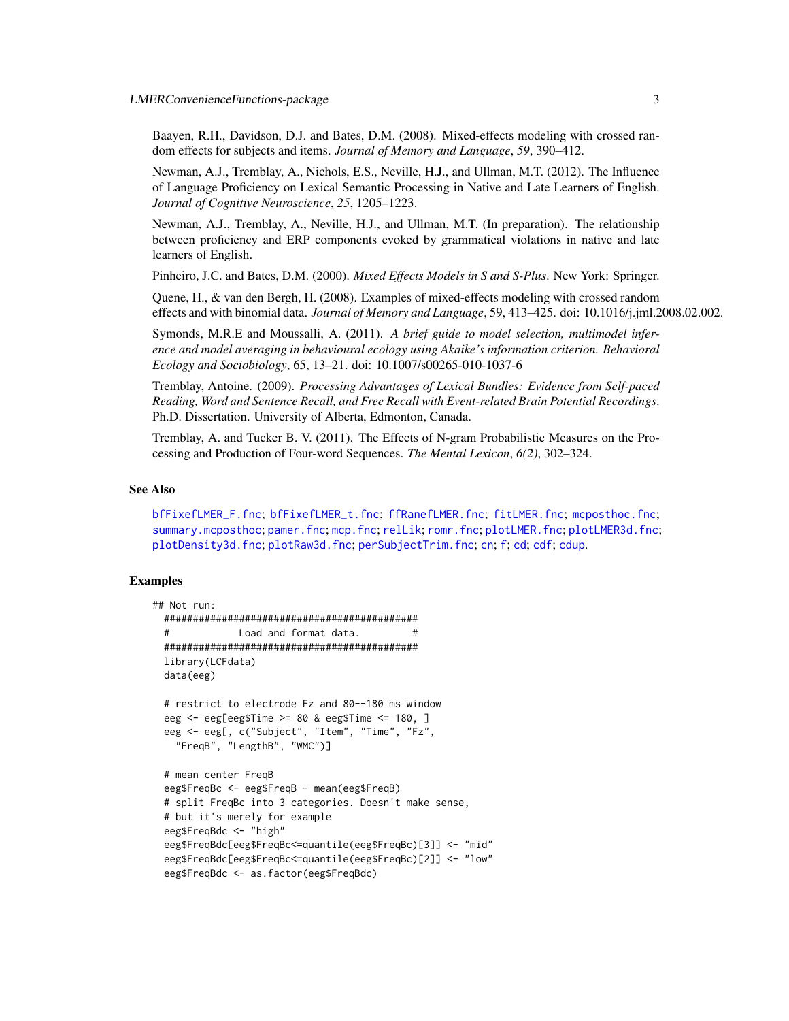<span id="page-2-0"></span>Baayen, R.H., Davidson, D.J. and Bates, D.M. (2008). Mixed-effects modeling with crossed random effects for subjects and items. *Journal of Memory and Language*, *59*, 390–412.

Newman, A.J., Tremblay, A., Nichols, E.S., Neville, H.J., and Ullman, M.T. (2012). The Influence of Language Proficiency on Lexical Semantic Processing in Native and Late Learners of English. *Journal of Cognitive Neuroscience*, *25*, 1205–1223.

Newman, A.J., Tremblay, A., Neville, H.J., and Ullman, M.T. (In preparation). The relationship between proficiency and ERP components evoked by grammatical violations in native and late learners of English.

Pinheiro, J.C. and Bates, D.M. (2000). *Mixed Effects Models in S and S-Plus*. New York: Springer.

Quene, H., & van den Bergh, H. (2008). Examples of mixed-effects modeling with crossed random effects and with binomial data. *Journal of Memory and Language*, 59, 413–425. doi: 10.1016/j.jml.2008.02.002.

Symonds, M.R.E and Moussalli, A. (2011). *A brief guide to model selection, multimodel inference and model averaging in behavioural ecology using Akaike's information criterion. Behavioral Ecology and Sociobiology*, 65, 13–21. doi: 10.1007/s00265-010-1037-6

Tremblay, Antoine. (2009). *Processing Advantages of Lexical Bundles: Evidence from Self-paced Reading, Word and Sentence Recall, and Free Recall with Event-related Brain Potential Recordings*. Ph.D. Dissertation. University of Alberta, Edmonton, Canada.

Tremblay, A. and Tucker B. V. (2011). The Effects of N-gram Probabilistic Measures on the Processing and Production of Four-word Sequences. *The Mental Lexicon*, *6(2)*, 302–324.

#### See Also

[bfFixefLMER\\_F.fnc](#page-6-1); [bfFixefLMER\\_t.fnc](#page-10-1); [ffRanefLMER.fnc](#page-16-1); [fitLMER.fnc](#page-18-1); [mcposthoc.fnc](#page-23-1); [summary.mcposthoc](#page-39-1); [pamer.fnc](#page-27-1); [mcp.fnc](#page-22-1); [relLik](#page-37-1); [romr.fnc](#page-38-1); [plotLMER.fnc](#page-31-1); [plotLMER3d.fnc](#page-33-1); [plotDensity3d.fnc](#page-29-1); [plotRaw3d.fnc](#page-35-1); [perSubjectTrim.fnc](#page-28-1); [cn](#page-14-1); [f](#page-15-1); [cd](#page-13-1); [cdf](#page-13-2); [cdup](#page-14-2).

### Examples

```
## Not run:
 ############################################
 # Load and format data. #
 ############################################
 library(LCFdata)
 data(eeg)
 # restrict to electrode Fz and 80--180 ms window
 eeg <- eeg[eeg$Time >= 80 & eeg$Time <= 180, ]
 eeg <- eeg[, c("Subject", "Item", "Time", "Fz",
   "FreqB", "LengthB", "WMC")]
 # mean center FreqB
 eeg$FreqBc <- eeg$FreqB - mean(eeg$FreqB)
 # split FreqBc into 3 categories. Doesn't make sense,
 # but it's merely for example
 eeg$FreqBdc <- "high"
 eeg$FreqBdc[eeg$FreqBc<=quantile(eeg$FreqBc)[3]] <- "mid"
 eeg$FreqBdc[eeg$FreqBc<=quantile(eeg$FreqBc)[2]] <- "low"
 eeg$FreqBdc <- as.factor(eeg$FreqBdc)
```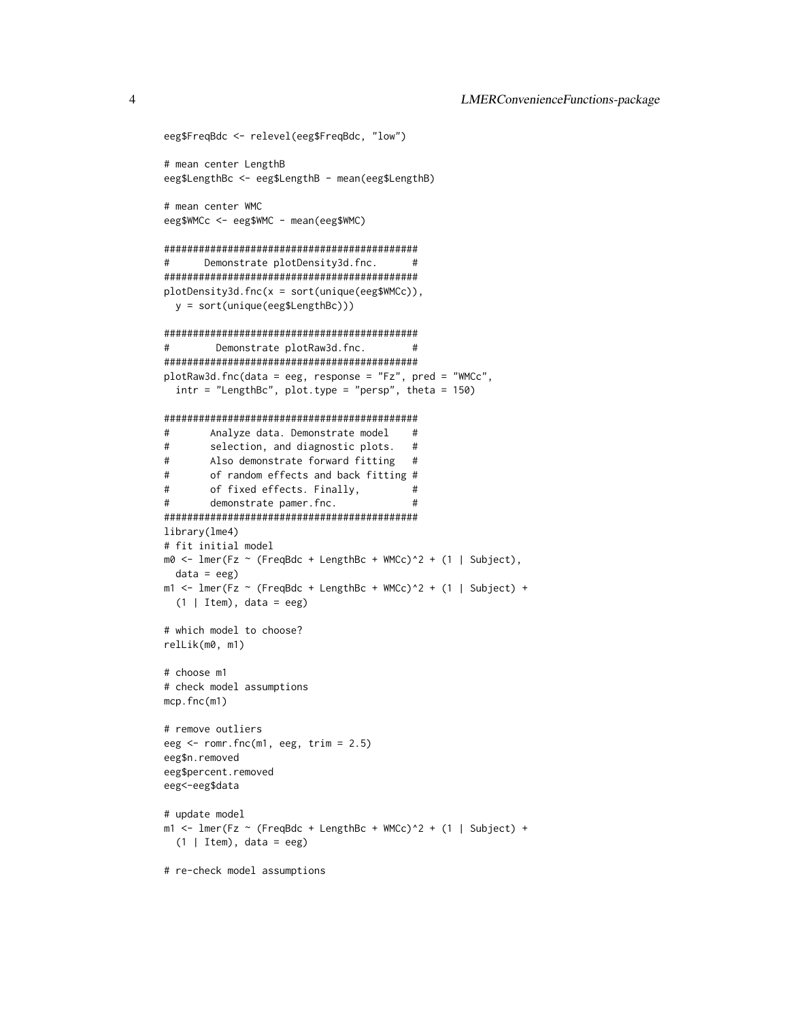```
eeg$FreqBdc <- relevel(eeg$FreqBdc, "low")
# mean center LengthB
eeg$LengthBc <- eeg$LengthB - mean(eeg$LengthB)
# mean center WMC
eeg$WMCc <- eeg$WMC - mean(eeg$WMC)
############################################
# Demonstrate plotDensity3d.fnc. #
############################################
plotDensity3d.fnc(x = sort(unique(eeg$WMCc)),
 y = sort(unique(eeg$LengthBc)))
############################################
# Demonstrate plotRaw3d.fnc. #
############################################
plotRaw3d.fnc(data = eeg, response = "Fz", pred = "WMCc",
 intr = "LengthBc", plot.type = "persp", theta = 150)
############################################
# Analyze data. Demonstrate model #
# selection, and diagnostic plots. #
# Also demonstrate forward fitting #
# of random effects and back fitting #
# of fixed effects. Finally, #
# demonstrate pamer.fnc. #
############################################
library(lme4)
# fit initial model
m0 \leq 1mer(Fz \sim (FreqBdc + LengthBc + WMCc)\uparrow2 + (1 | Subject),
 data = eegm1 <- lmer(Fz \sim (FreqBdc + LengthBc + WMCc)^2 + (1 | Subject) +
 (1 | Item), data = eeg)
# which model to choose?
relLik(m0, m1)
# choose m1
# check model assumptions
mcp.fnc(m1)
# remove outliers
eeg <- romr.fnc(m1, eeg, trim = 2.5)
eeg$n.removed
eeg$percent.removed
eeg<-eeg$data
# update model
m1 <- lmer(Fz \sim (FreqBdc + LengthBc + WMC)^2 + (1 | Subject) +(1 | Item), data = eeg)
# re-check model assumptions
```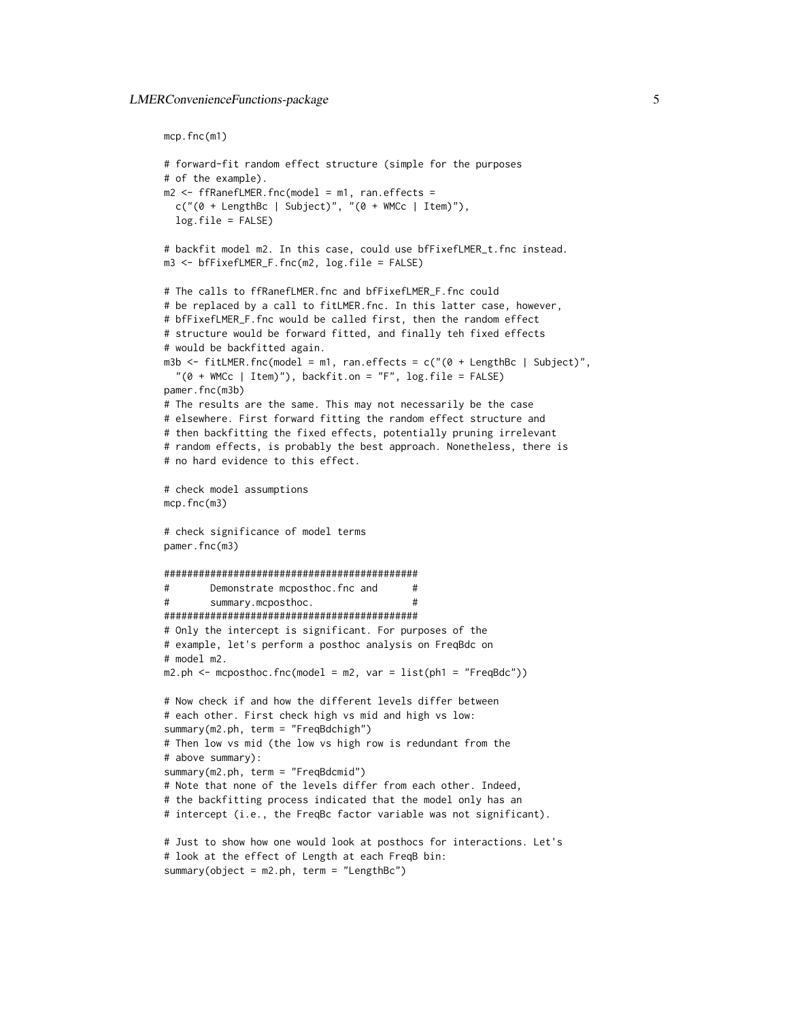```
mcp.fnc(m1)
```

```
# forward-fit random effect structure (simple for the purposes
# of the example).
m2 <- ffRanefLMER.fnc(model = m1, ran.effects =
 c("0 + LengthBc | Subject)", "0 + WMCc | Item)",log.file = FALSE)
# backfit model m2. In this case, could use bfFixefLMER_t.fnc instead.
m3 <- bfFixefLMER_F.fnc(m2, log.file = FALSE)
# The calls to ffRanefLMER.fnc and bfFixefLMER_F.fnc could
# be replaced by a call to fitLMER.fnc. In this latter case, however,
# bfFixefLMER_F.fnc would be called first, then the random effect
# structure would be forward fitted, and finally teh fixed effects
# would be backfitted again.
m3b <- fitLMER.fnc(model = m1, ran.effects = c("0 + LengthBc | Subject)","(0 + WMCc | Item)"), backfit.on = "F", log.file = FALSE)
pamer.fnc(m3b)
# The results are the same. This may not necessarily be the case
# elsewhere. First forward fitting the random effect structure and
# then backfitting the fixed effects, potentially pruning irrelevant
# random effects, is probably the best approach. Nonetheless, there is
# no hard evidence to this effect.
# check model assumptions
mcp.fnc(m3)
# check significance of model terms
pamer.fnc(m3)
############################################
# Demonstrate mcposthoc.fnc and #
       summary.mcposthoc. #
############################################
# Only the intercept is significant. For purposes of the
# example, let's perform a posthoc analysis on FreqBdc on
# model m2.
m2.ph < mcposthoc.fnc(model = m2, var = list(ph1 = "FreqBdc"))
# Now check if and how the different levels differ between
# each other. First check high vs mid and high vs low:
summary(m2.ph, term = "FreqBdchigh")
# Then low vs mid (the low vs high row is redundant from the
# above summary):
summary(m2.ph, term = "FreqBdcmid")
# Note that none of the levels differ from each other. Indeed,
# the backfitting process indicated that the model only has an
# intercept (i.e., the FreqBc factor variable was not significant).
# Just to show how one would look at posthocs for interactions. Let's
# look at the effect of Length at each FreqB bin:
summary(object = m2.ph, term = "LengthBc")
```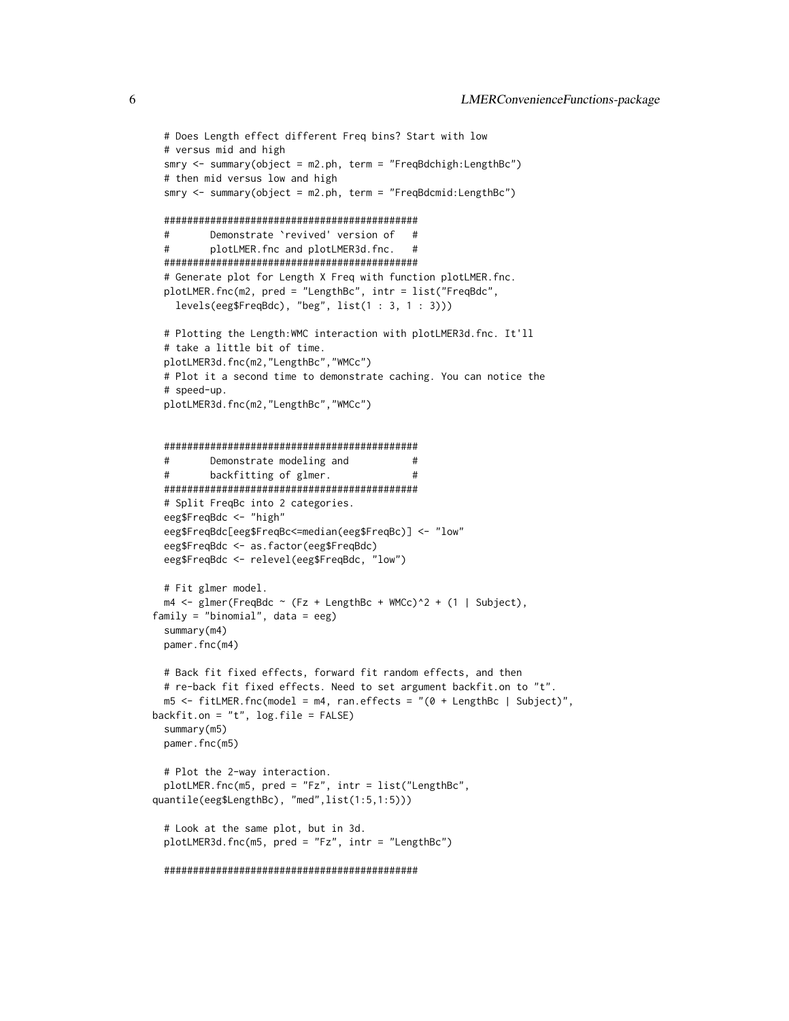```
# Does Length effect different Freq bins? Start with low
 # versus mid and high
 smry <- summary(object = m2.ph, term = "FreqBdchigh:LengthBc")
 # then mid versus low and high
 smry <- summary(object = m2.ph, term = "FreqBdcmid:LengthBc")
 ############################################
 # Demonstrate `revived' version of #
 # plotLMER.fnc and plotLMER3d.fnc. #
 ############################################
 # Generate plot for Length X Freq with function plotLMER.fnc.
 plotLMER.fnc(m2, pred = "LengthBc", intr = list("FreqBdc",
   levels(eeg$FreqBdc), "beg", list(1 : 3, 1 : 3)))
 # Plotting the Length:WMC interaction with plotLMER3d.fnc. It'll
 # take a little bit of time.
 plotLMER3d.fnc(m2,"LengthBc","WMCc")
 # Plot it a second time to demonstrate caching. You can notice the
 # speed-up.
 plotLMER3d.fnc(m2,"LengthBc","WMCc")
 ############################################
 # Demonstrate modeling and #
 # backfitting of glmer. #
 ############################################
 # Split FreqBc into 2 categories.
 eeg$FreqBdc <- "high"
 eeg$FreqBdc[eeg$FreqBc<=median(eeg$FreqBc)] <- "low"
 eeg$FreqBdc <- as.factor(eeg$FreqBdc)
 eeg$FreqBdc <- relevel(eeg$FreqBdc, "low")
 # Fit glmer model.
 m4 \leq glmer(FreqBdc \sim (Fz + LengthBc + WMCc)\hat{2} + (1 | Subject),
family = "binomial", data = eeg)
 summary(m4)
 pamer.fnc(m4)
 # Back fit fixed effects, forward fit random effects, and then
 # re-back fit fixed effects. Need to set argument backfit.on to "t".
 m5 \le fitLMER.fnc(model = m4, ran.effects = "(0 + LengthBc | Subject)",
backfit.on = "t", log.file = FALSE)
 summary(m5)
 pamer.fnc(m5)
 # Plot the 2-way interaction.
 plotLMER.fnc(m5, pred = "Fz", intr = list("LengthBc",
quantile(eeg$LengthBc), "med",list(1:5,1:5)))
 # Look at the same plot, but in 3d.
 plotLMER3d.fnc(m5, pred = "Fz", intr = "LengthBc")
 ############################################
```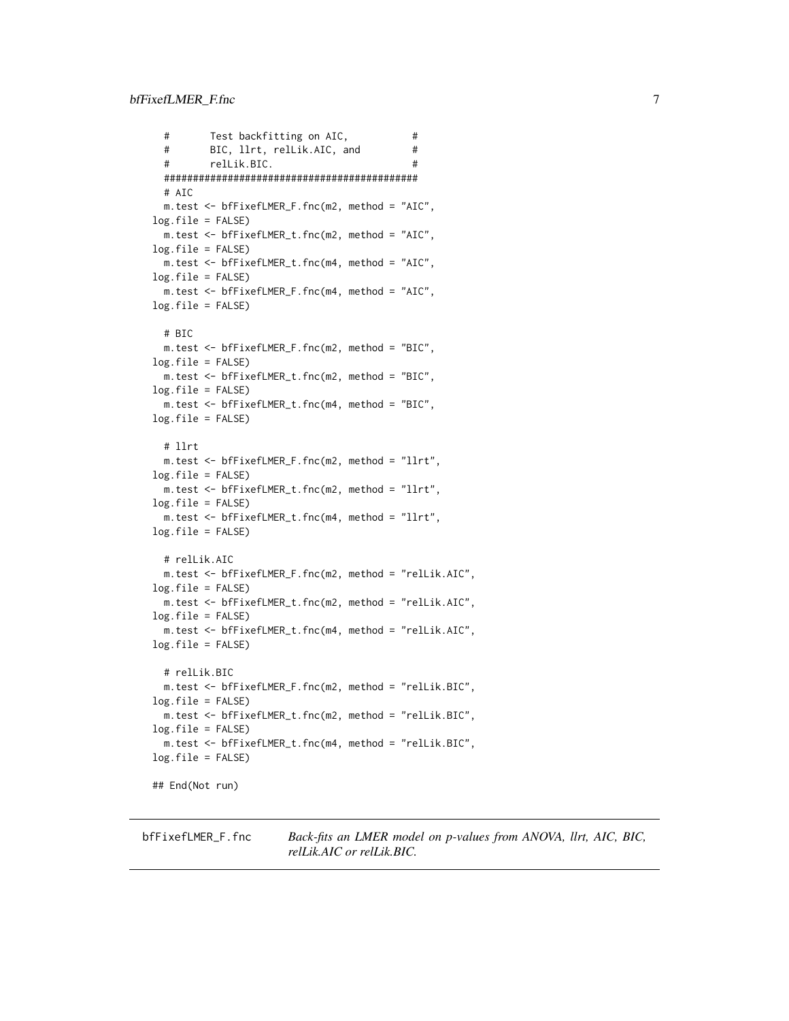```
# Test backfitting on AIC, #
 # BIC, llrt, relLik.AIC, and #
 # relLik.BIC. #
 ############################################
 # AIC
 m.test <- bfFixefLMER_F.fnc(m2, method = "AIC",
log.file = FALSE)
 m.test <- bfFixefLMER_t.fnc(m2, method = "AIC",
log.file = FALSE)
 m.test <- bfFixefLMER_t.fnc(m4, method = "AIC",
log.file = FALSE)
 m.test <- bfFixefLMER_F.fnc(m4, method = "AIC",
log.file = FALSE)
 # BIC
 m.test <- bfFixefLMER_F.fnc(m2, method = "BIC",
log.file = FALSE)
 m.test <- bfFixefLMER_t.fnc(m2, method = "BIC",
log.file = FALSE)
 m.test <- bfFixefLMER_t.fnc(m4, method = "BIC",
log.file = FALSE)
 # llrt
 m.test <- bfFixefLMER_F.fnc(m2, method = "llrt",
log.file = FALSE)
 m.test <- bfFixefLMER_t.fnc(m2, method = "llrt",
log.file = FALSE)
 m.test <- bfFixefLMER_t.fnc(m4, method = "llrt",
log.file = FALSE)
 # relLik.AIC
 m.test <- bfFixefLMER_F.fnc(m2, method = "relLik.AIC",
log.file = FALSE)
 m.test <- bfFixefLMER_t.fnc(m2, method = "relLik.AIC",
log.fitle = FALSE)m.test <- bfFixefLMER_t.fnc(m4, method = "relLik.AIC",
log.file = FALSE)
 # relLik.BIC
 m.test <- bfFixefLMER_F.fnc(m2, method = "relLik.BIC",
log.fitle = FALSE)m.test <- bfFixefLMER_t.fnc(m2, method = "relLik.BIC",
log.file = FALSE)
 m.test <- bfFixefLMER_t.fnc(m4, method = "relLik.BIC",
log.file = FALSE)
## End(Not run)
```
<span id="page-6-1"></span>bfFixefLMER\_F.fnc *Back-fits an LMER model on p-values from ANOVA, llrt, AIC, BIC, relLik.AIC or relLik.BIC.*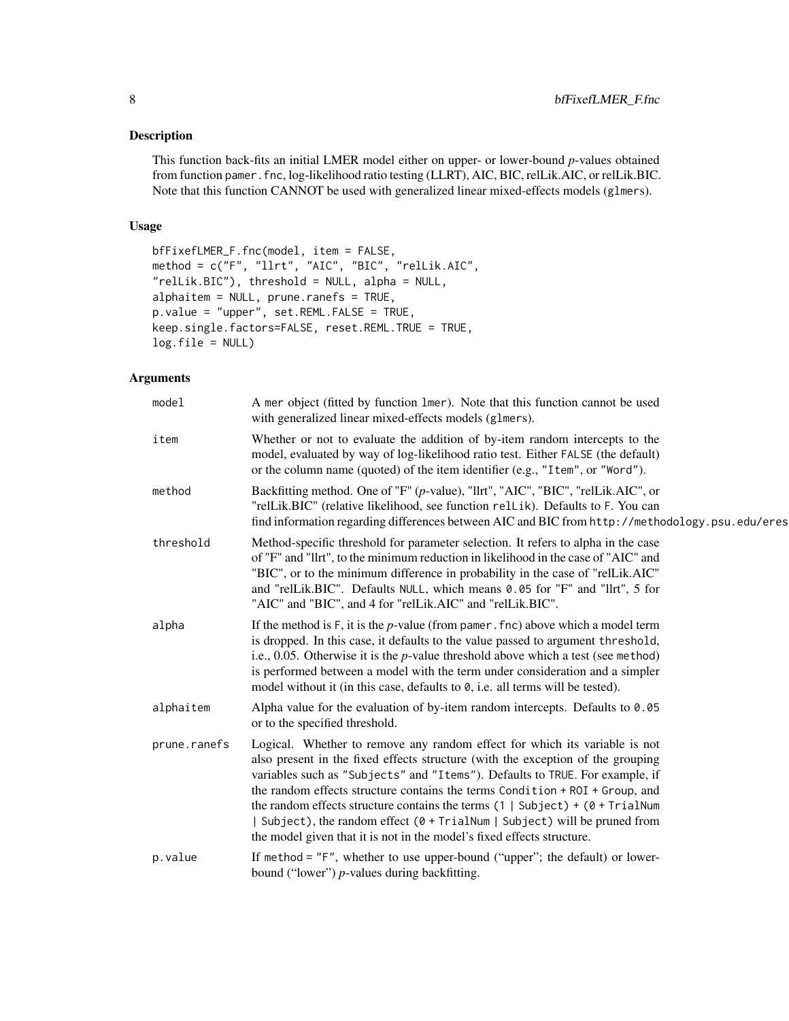# Description

This function back-fits an initial LMER model either on upper- or lower-bound *p*-values obtained from function pamer.fnc, log-likelihood ratio testing (LLRT), AIC, BIC, relLik.AIC, or relLik.BIC. Note that this function CANNOT be used with generalized linear mixed-effects models (glmers).

# Usage

```
bfFixefLMER_F.fnc(model, item = FALSE,
method = c("F", "llrt", "AIC", "BIC", "relLik.AIC",
"relLik.BIC"), threshold = NULL, alpha = NULL,
alphaitem = NULL, prune.ranefs = TRUE,
p.value = "upper", set.REML.FALSE = TRUE,
keep.single.factors=FALSE, reset.REML.TRUE = TRUE,
log.file = NULL)
```

| model        | A mer object (fitted by function lmer). Note that this function cannot be used<br>with generalized linear mixed-effects models (glmers).                                                                                                                                                                                                                                                                                                                                                                                                                                                |
|--------------|-----------------------------------------------------------------------------------------------------------------------------------------------------------------------------------------------------------------------------------------------------------------------------------------------------------------------------------------------------------------------------------------------------------------------------------------------------------------------------------------------------------------------------------------------------------------------------------------|
| item         | Whether or not to evaluate the addition of by-item random intercepts to the<br>model, evaluated by way of log-likelihood ratio test. Either FALSE (the default)<br>or the column name (quoted) of the item identifier (e.g., "Item", or "Word").                                                                                                                                                                                                                                                                                                                                        |
| method       | Backfitting method. One of "F" (p-value), "llrt", "AIC", "BIC", "relLik.AIC", or<br>"relLik.BIC" (relative likelihood, see function relLik). Defaults to F. You can<br>find information regarding differences between AIC and BIC from http://methodology.psu.edu/eres                                                                                                                                                                                                                                                                                                                  |
| threshold    | Method-specific threshold for parameter selection. It refers to alpha in the case<br>of "F" and "llrt", to the minimum reduction in likelihood in the case of "AIC" and<br>"BIC", or to the minimum difference in probability in the case of "relLik.AIC"<br>and "relLik.BIC". Defaults NULL, which means 0.05 for "F" and "llrt", 5 for<br>"AIC" and "BIC", and 4 for "relLik.AIC" and "relLik.BIC".                                                                                                                                                                                   |
| alpha        | If the method is $F$ , it is the $p$ -value (from pamer. fnc) above which a model term<br>is dropped. In this case, it defaults to the value passed to argument threshold,<br>i.e., 0.05. Otherwise it is the $p$ -value threshold above which a test (see method)<br>is performed between a model with the term under consideration and a simpler<br>model without it (in this case, defaults to 0, i.e. all terms will be tested).                                                                                                                                                    |
| alphaitem    | Alpha value for the evaluation of by-item random intercepts. Defaults to $0.05$<br>or to the specified threshold.                                                                                                                                                                                                                                                                                                                                                                                                                                                                       |
| prune.ranefs | Logical. Whether to remove any random effect for which its variable is not<br>also present in the fixed effects structure (with the exception of the grouping<br>variables such as "Subjects" and "Items"). Defaults to TRUE. For example, if<br>the random effects structure contains the terms Condition + ROI + Group, and<br>the random effects structure contains the terms $(1   Subject) + (0 + TrialNum)$<br>Subject), the random effect $(0 + \text{TrialNum}   \text{Subject})$ will be pruned from<br>the model given that it is not in the model's fixed effects structure. |
| p.value      | If method = $"F"$ , whether to use upper-bound ("upper"; the default) or lower-<br>bound ("lower") p-values during backfitting.                                                                                                                                                                                                                                                                                                                                                                                                                                                         |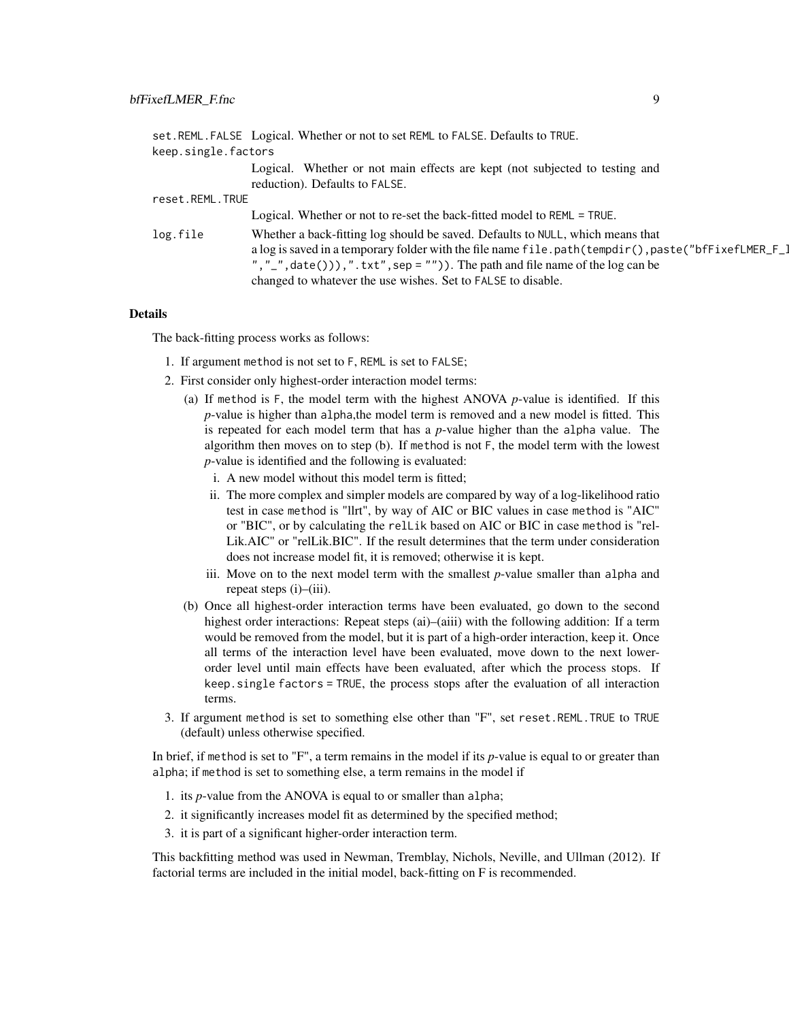|                     | set.REML.FALSE Logical. Whether or not to set REML to FALSE. Defaults to TRUE.                                                                                                                                                                                                                                                            |  |
|---------------------|-------------------------------------------------------------------------------------------------------------------------------------------------------------------------------------------------------------------------------------------------------------------------------------------------------------------------------------------|--|
| keep.single.factors |                                                                                                                                                                                                                                                                                                                                           |  |
|                     | Logical. Whether or not main effects are kept (not subjected to testing and<br>reduction). Defaults to FALSE.                                                                                                                                                                                                                             |  |
| reset.REML.TRUE     |                                                                                                                                                                                                                                                                                                                                           |  |
|                     | Logical. Whether or not to re-set the back-fitted model to REML = TRUE.                                                                                                                                                                                                                                                                   |  |
| log.file            | Whether a back-fitting log should be saved. Defaults to NULL, which means that<br>a log is saved in a temporary folder with the file name file.path(tempdir(),paste("bfFixefLMER_F_]<br>", "_", $data()$ ), ". txt", sep = "")). The path and file name of the log can be<br>changed to whatever the use wishes. Set to FALSE to disable. |  |

# Details

The back-fitting process works as follows:

- 1. If argument method is not set to F, REML is set to FALSE;
- 2. First consider only highest-order interaction model terms:
	- (a) If method is F, the model term with the highest ANOVA *p*-value is identified. If this *p*-value is higher than alpha,the model term is removed and a new model is fitted. This is repeated for each model term that has a *p*-value higher than the alpha value. The algorithm then moves on to step (b). If method is not F, the model term with the lowest *p*-value is identified and the following is evaluated:
		- i. A new model without this model term is fitted;
		- ii. The more complex and simpler models are compared by way of a log-likelihood ratio test in case method is "llrt", by way of AIC or BIC values in case method is "AIC" or "BIC", or by calculating the relLik based on AIC or BIC in case method is "rel-Lik.AIC" or "relLik.BIC". If the result determines that the term under consideration does not increase model fit, it is removed; otherwise it is kept.
		- iii. Move on to the next model term with the smallest *p*-value smaller than alpha and repeat steps (i)–(iii).
	- (b) Once all highest-order interaction terms have been evaluated, go down to the second highest order interactions: Repeat steps (ai)–(aiii) with the following addition: If a term would be removed from the model, but it is part of a high-order interaction, keep it. Once all terms of the interaction level have been evaluated, move down to the next lowerorder level until main effects have been evaluated, after which the process stops. If keep.single factors = TRUE, the process stops after the evaluation of all interaction terms.
- 3. If argument method is set to something else other than "F", set reset.REML.TRUE to TRUE (default) unless otherwise specified.

In brief, if method is set to "F", a term remains in the model if its *p*-value is equal to or greater than alpha; if method is set to something else, a term remains in the model if

- 1. its *p*-value from the ANOVA is equal to or smaller than alpha;
- 2. it significantly increases model fit as determined by the specified method;
- 3. it is part of a significant higher-order interaction term.

This backfitting method was used in Newman, Tremblay, Nichols, Neville, and Ullman (2012). If factorial terms are included in the initial model, back-fitting on F is recommended.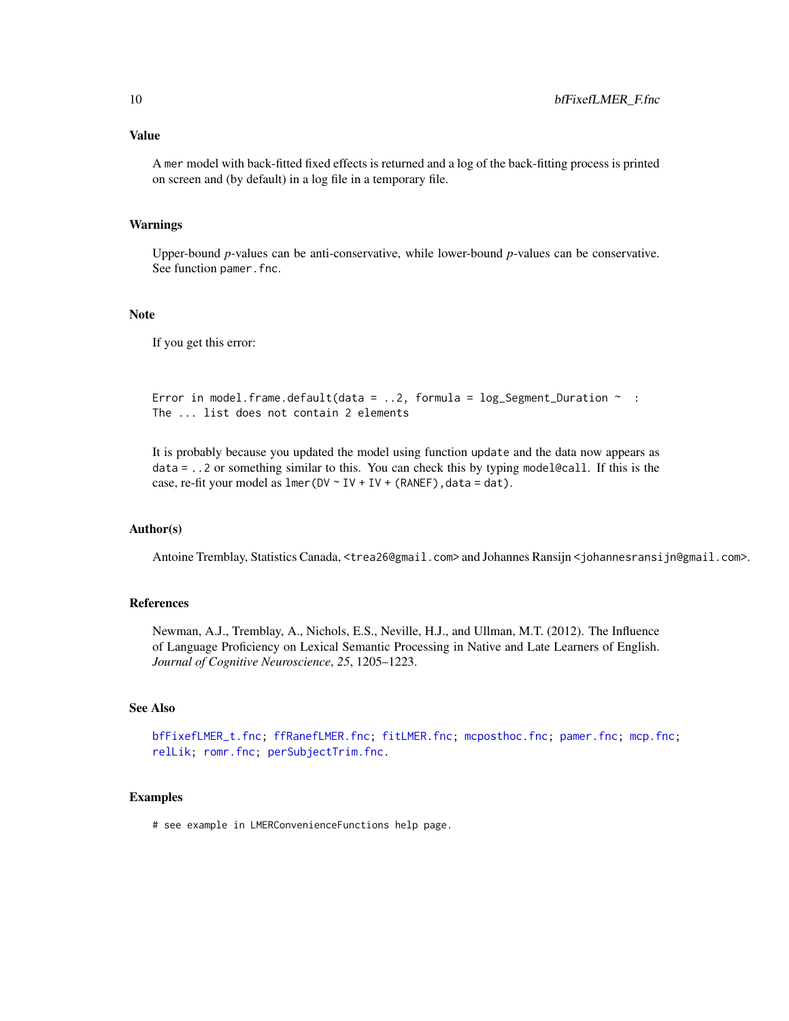# <span id="page-9-0"></span>Value

A mer model with back-fitted fixed effects is returned and a log of the back-fitting process is printed on screen and (by default) in a log file in a temporary file.

# Warnings

Upper-bound *p*-values can be anti-conservative, while lower-bound *p*-values can be conservative. See function pamer. fnc.

#### Note

If you get this error:

```
Error in model.frame.default(data = \ldots2, formula = log_Segment_Duration ~ :
The ... list does not contain 2 elements
```
It is probably because you updated the model using function update and the data now appears as data = ..2 or something similar to this. You can check this by typing model@call. If this is the case, re-fit your model as  $lmer(DV \sim IV + IV + (RANEF)$ , data = dat).

#### Author(s)

Antoine Tremblay, Statistics Canada, <trea26@gmail.com> and Johannes Ransijn <johannesransijn@gmail.com>.

# References

Newman, A.J., Tremblay, A., Nichols, E.S., Neville, H.J., and Ullman, M.T. (2012). The Influence of Language Proficiency on Lexical Semantic Processing in Native and Late Learners of English. *Journal of Cognitive Neuroscience*, *25*, 1205–1223.

# See Also

[bfFixefLMER\\_t.fnc;](#page-10-1) [ffRanefLMER.fnc;](#page-16-1) [fitLMER.fnc;](#page-18-1) [mcposthoc.fnc;](#page-23-1) [pamer.fnc;](#page-27-1) [mcp.fnc;](#page-22-1) [relLik;](#page-37-1) [romr.fnc;](#page-38-1) [perSubjectTrim.fnc.](#page-28-1)

# Examples

# see example in LMERConvenienceFunctions help page.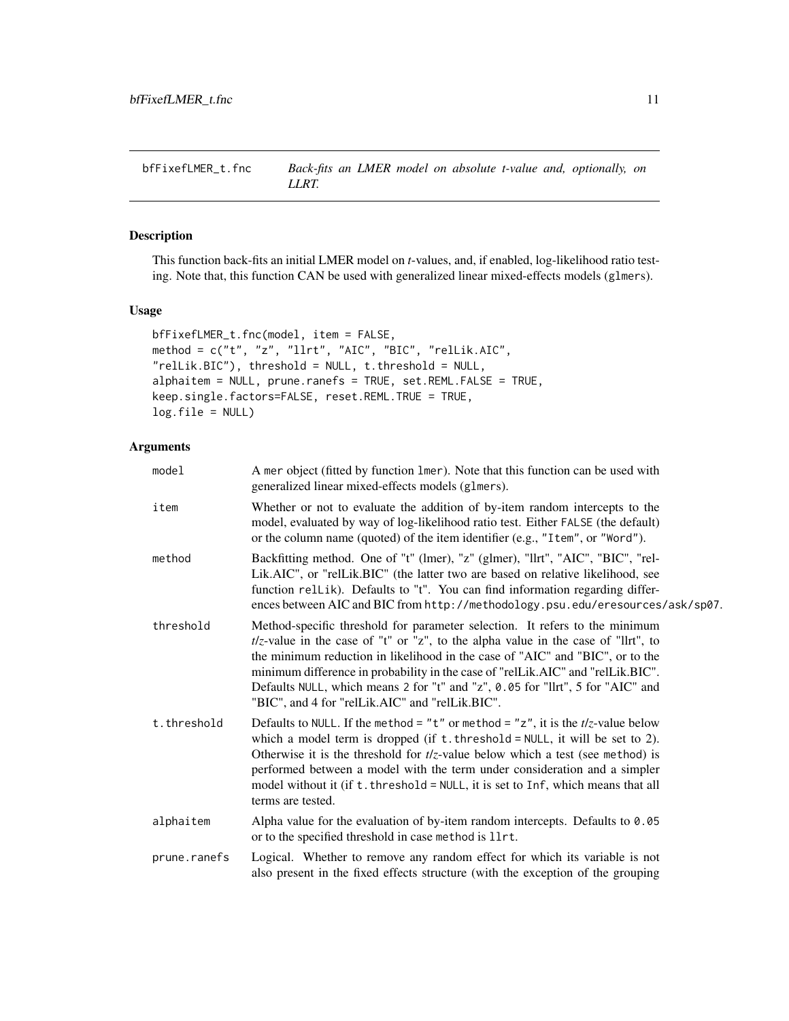<span id="page-10-1"></span><span id="page-10-0"></span>bfFixefLMER\_t.fnc *Back-fits an LMER model on absolute t-value and, optionally, on LLRT.*

# Description

This function back-fits an initial LMER model on *t*-values, and, if enabled, log-likelihood ratio testing. Note that, this function CAN be used with generalized linear mixed-effects models (glmers).

#### Usage

```
bfFixefLMER_t.fnc(model, item = FALSE,
method = c("t", "z", "llrt", "AIC", "BIC", "relLik.AIC",
"relLik.BIC"), threshold = NULL, t.threshold = NULL,
alphaitem = NULL, prune.ranefs = TRUE, set.REML.FALSE = TRUE,
keep.single.factors=FALSE, reset.REML.TRUE = TRUE,
log.file = NULL)
```

| model        | A mer object (fitted by function 1mer). Note that this function can be used with<br>generalized linear mixed-effects models (glmers).                                                                                                                                                                                                                                                                                                                                        |
|--------------|------------------------------------------------------------------------------------------------------------------------------------------------------------------------------------------------------------------------------------------------------------------------------------------------------------------------------------------------------------------------------------------------------------------------------------------------------------------------------|
| item         | Whether or not to evaluate the addition of by-item random intercepts to the<br>model, evaluated by way of log-likelihood ratio test. Either FALSE (the default)<br>or the column name (quoted) of the item identifier (e.g., "Item", or "Word").                                                                                                                                                                                                                             |
| method       | Backfitting method. One of "t" (lmer), "z" (glmer), "llrt", "AIC", "BIC", "rel-<br>Lik.AIC", or "relLik.BIC" (the latter two are based on relative likelihood, see<br>function rellik). Defaults to "t". You can find information regarding differ-<br>ences between AIC and BIC from http://methodology.psu.edu/eresources/ask/sp07.                                                                                                                                        |
| threshold    | Method-specific threshold for parameter selection. It refers to the minimum<br>$t/z$ -value in the case of "t" or "z", to the alpha value in the case of "llrt", to<br>the minimum reduction in likelihood in the case of "AIC" and "BIC", or to the<br>minimum difference in probability in the case of "relLik.AIC" and "relLik.BIC".<br>Defaults NULL, which means 2 for "t" and "z", 0.05 for "llrt", 5 for "AIC" and<br>"BIC", and 4 for "relLik.AIC" and "relLik.BIC". |
| t.threshold  | Defaults to NULL. If the method = "t" or method = "z", it is the $t/z$ -value below<br>which a model term is dropped (if $t$ . threshold = NULL, it will be set to 2).<br>Otherwise it is the threshold for $t/z$ -value below which a test (see method) is<br>performed between a model with the term under consideration and a simpler<br>model without it (if t. threshold = NULL, it is set to Inf, which means that all<br>terms are tested.                            |
| alphaitem    | Alpha value for the evaluation of by-item random intercepts. Defaults to 0.05<br>or to the specified threshold in case method is 11rt.                                                                                                                                                                                                                                                                                                                                       |
| prune.ranefs | Logical. Whether to remove any random effect for which its variable is not<br>also present in the fixed effects structure (with the exception of the grouping                                                                                                                                                                                                                                                                                                                |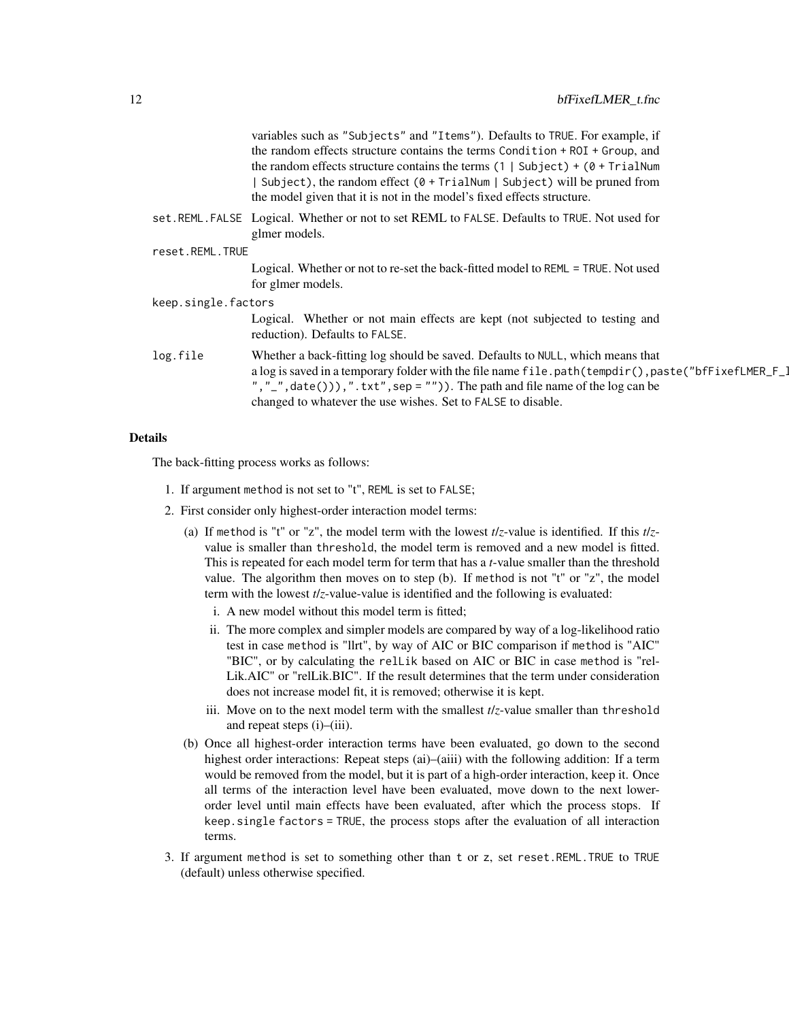|                     | variables such as "Subjects" and "Items"). Defaults to TRUE. For example, if<br>the random effects structure contains the terms Condition + ROI + Group, and<br>the random effects structure contains the terms $(1   Subject) + (0 + TrialNum)$                                                                                                 |
|---------------------|--------------------------------------------------------------------------------------------------------------------------------------------------------------------------------------------------------------------------------------------------------------------------------------------------------------------------------------------------|
|                     | Subject), the random effect $(0 + \text{TrialNum}   \text{Subject})$ will be pruned from<br>the model given that it is not in the model's fixed effects structure.                                                                                                                                                                               |
|                     | set.REML.FALSE Logical. Whether or not to set REML to FALSE. Defaults to TRUE. Not used for<br>glmer models.                                                                                                                                                                                                                                     |
| reset.REML.TRUE     |                                                                                                                                                                                                                                                                                                                                                  |
|                     | Logical. Whether or not to re-set the back-fitted model to REML = TRUE. Not used<br>for glmer models.                                                                                                                                                                                                                                            |
| keep.single.factors |                                                                                                                                                                                                                                                                                                                                                  |
|                     | Logical. Whether or not main effects are kept (not subjected to testing and<br>reduction). Defaults to FALSE.                                                                                                                                                                                                                                    |
| log.file            | Whether a back-fitting log should be saved. Defaults to NULL, which means that<br>a log is saved in a temporary folder with the file name file.path(tempdir(),paste("bfFixefLMER_F_]<br>", " $\ldots$ ", date())), ". txt", sep = "")). The path and file name of the log can be<br>changed to whatever the use wishes. Set to FALSE to disable. |

# Details

The back-fitting process works as follows:

- 1. If argument method is not set to "t", REML is set to FALSE;
- 2. First consider only highest-order interaction model terms:
	- (a) If method is "t" or "z", the model term with the lowest *t*/*z*-value is identified. If this *t*/*z*value is smaller than threshold, the model term is removed and a new model is fitted. This is repeated for each model term for term that has a *t*-value smaller than the threshold value. The algorithm then moves on to step (b). If method is not "t" or "z", the model term with the lowest *t*/*z*-value-value is identified and the following is evaluated:
		- i. A new model without this model term is fitted;
		- ii. The more complex and simpler models are compared by way of a log-likelihood ratio test in case method is "llrt", by way of AIC or BIC comparison if method is "AIC" "BIC", or by calculating the relLik based on AIC or BIC in case method is "rel-Lik.AIC" or "relLik.BIC". If the result determines that the term under consideration does not increase model fit, it is removed; otherwise it is kept.
		- iii. Move on to the next model term with the smallest *t*/*z*-value smaller than threshold and repeat steps (i)–(iii).
	- (b) Once all highest-order interaction terms have been evaluated, go down to the second highest order interactions: Repeat steps (ai)–(aiii) with the following addition: If a term would be removed from the model, but it is part of a high-order interaction, keep it. Once all terms of the interaction level have been evaluated, move down to the next lowerorder level until main effects have been evaluated, after which the process stops. If keep.single factors = TRUE, the process stops after the evaluation of all interaction terms.
- 3. If argument method is set to something other than t or z, set reset.REML.TRUE to TRUE (default) unless otherwise specified.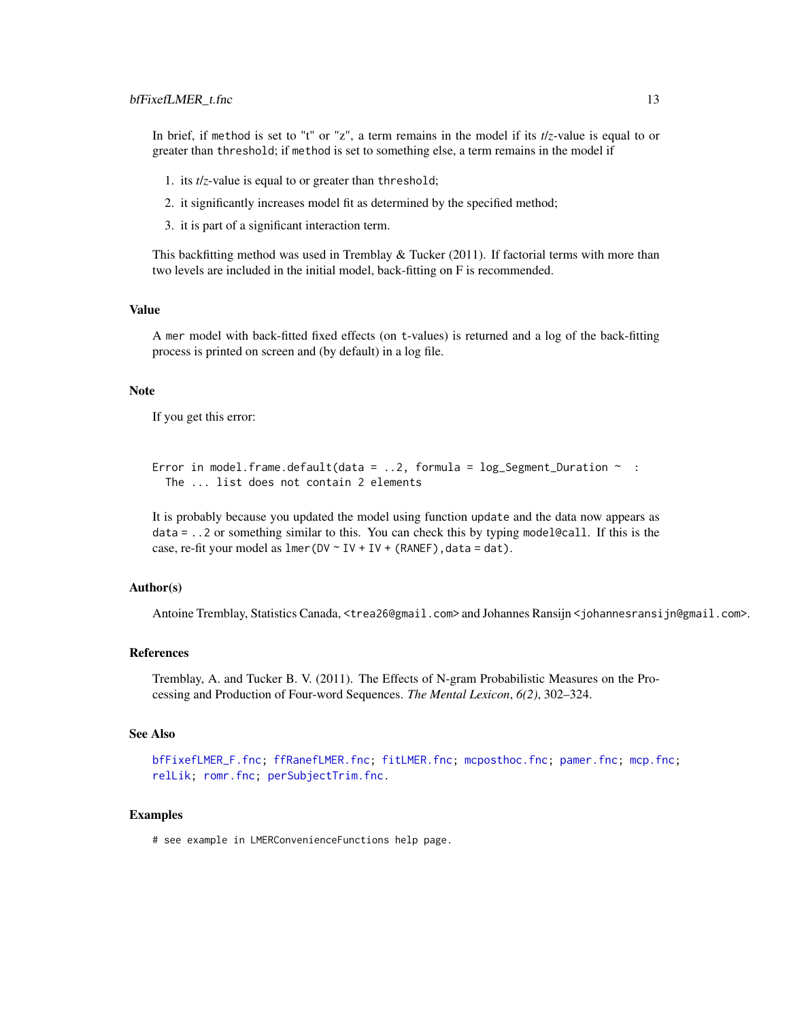#### <span id="page-12-0"></span>bfFixefLMER\_t.fnc 13

In brief, if method is set to "t" or "z", a term remains in the model if its *t*/*z*-value is equal to or greater than threshold; if method is set to something else, a term remains in the model if

- 1. its *t*/*z*-value is equal to or greater than threshold;
- 2. it significantly increases model fit as determined by the specified method;
- 3. it is part of a significant interaction term.

This backfitting method was used in Tremblay  $\&$  Tucker (2011). If factorial terms with more than two levels are included in the initial model, back-fitting on F is recommended.

#### Value

A mer model with back-fitted fixed effects (on t-values) is returned and a log of the back-fitting process is printed on screen and (by default) in a log file.

#### Note

If you get this error:

Error in model.frame.default(data = ..2, formula =  $\log$ \_Segment\_Duration ~ : The ... list does not contain 2 elements

It is probably because you updated the model using function update and the data now appears as  $data = ..2$  or something similar to this. You can check this by typing model@call. If this is the case, re-fit your model as  $lmer(DV \sim IV + IV + (RANEF)$ , data = dat).

# Author(s)

Antoine Tremblay, Statistics Canada, <trea26@gmail.com> and Johannes Ransijn <johannesransijn@gmail.com>.

#### References

Tremblay, A. and Tucker B. V. (2011). The Effects of N-gram Probabilistic Measures on the Processing and Production of Four-word Sequences. *The Mental Lexicon*, *6(2)*, 302–324.

# See Also

[bfFixefLMER\\_F.fnc;](#page-6-1) [ffRanefLMER.fnc;](#page-16-1) [fitLMER.fnc;](#page-18-1) [mcposthoc.fnc;](#page-23-1) [pamer.fnc;](#page-27-1) [mcp.fnc;](#page-22-1) [relLik;](#page-37-1) [romr.fnc;](#page-38-1) [perSubjectTrim.fnc.](#page-28-1)

#### Examples

# see example in LMERConvenienceFunctions help page.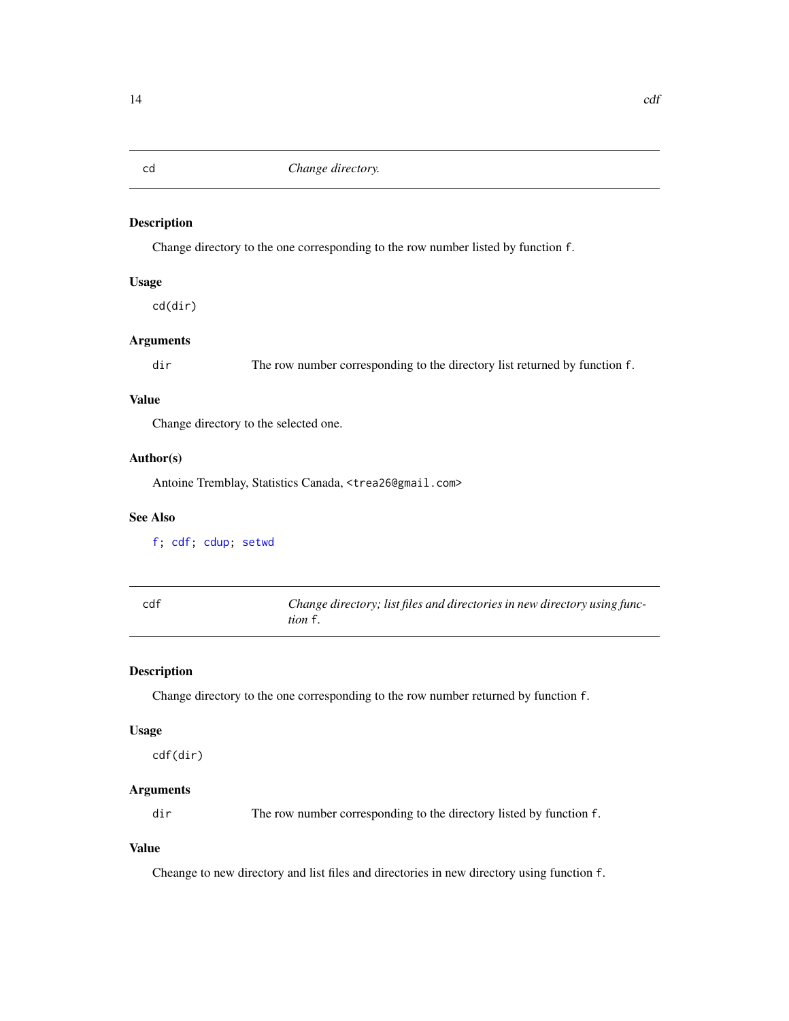<span id="page-13-1"></span><span id="page-13-0"></span>cd *Change directory.*

# Description

Change directory to the one corresponding to the row number listed by function f.

# Usage

cd(dir)

# Arguments

dir The row number corresponding to the directory list returned by function f.

# Value

Change directory to the selected one.

#### Author(s)

Antoine Tremblay, Statistics Canada, <trea26@gmail.com>

# See Also

[f;](#page-15-1) [cdf;](#page-13-2) [cdup;](#page-14-2) [setwd](#page-0-0)

<span id="page-13-2"></span>

| cdf | Change directory; list files and directories in new directory using func- |
|-----|---------------------------------------------------------------------------|
|     | <i>tion</i> f.                                                            |

# Description

Change directory to the one corresponding to the row number returned by function f.

#### Usage

cdf(dir)

# Arguments

dir The row number corresponding to the directory listed by function f.

# Value

Cheange to new directory and list files and directories in new directory using function f.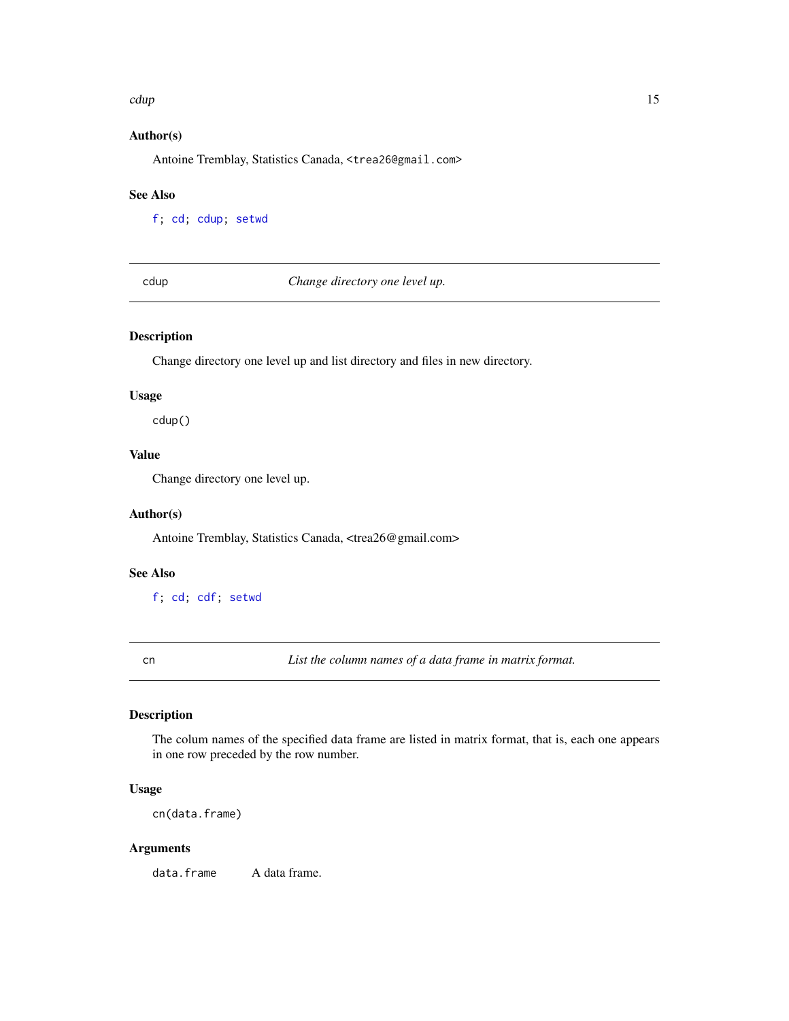#### <span id="page-14-0"></span>cdup and the contract of the contract of the contract of the contract of the contract of the contract of the contract of the contract of the contract of the contract of the contract of the contract of the contract of the c

# Author(s)

Antoine Tremblay, Statistics Canada, <trea26@gmail.com>

# See Also

[f;](#page-15-1) [cd;](#page-13-1) [cdup;](#page-14-2) [setwd](#page-0-0)

<span id="page-14-2"></span>cdup *Change directory one level up.*

# Description

Change directory one level up and list directory and files in new directory.

#### Usage

cdup()

# Value

Change directory one level up.

# Author(s)

Antoine Tremblay, Statistics Canada, <trea26@gmail.com>

# See Also

[f;](#page-15-1) [cd;](#page-13-1) [cdf;](#page-13-2) [setwd](#page-0-0)

<span id="page-14-1"></span>cn *List the column names of a data frame in matrix format.*

# Description

The colum names of the specified data frame are listed in matrix format, that is, each one appears in one row preceded by the row number.

## Usage

cn(data.frame)

# Arguments

data.frame A data frame.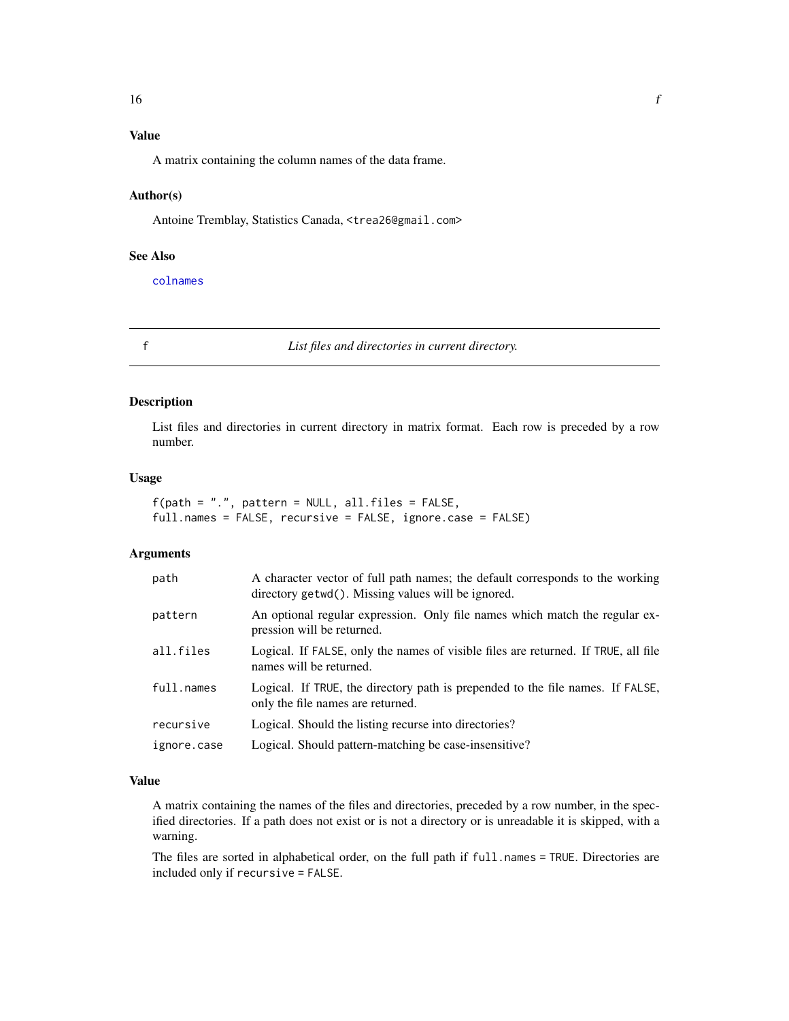# <span id="page-15-0"></span>Value

A matrix containing the column names of the data frame.

# Author(s)

Antoine Tremblay, Statistics Canada, <trea26@gmail.com>

# See Also

[colnames](#page-0-0)

<span id="page-15-1"></span>

f *List files and directories in current directory.*

#### Description

List files and directories in current directory in matrix format. Each row is preceded by a row number.

# Usage

 $f(path = "."$ , pattern = NULL, all.files =  $FALSE$ , full.names = FALSE, recursive = FALSE, ignore.case = FALSE)

# Arguments

| path        | A character vector of full path names; the default corresponds to the working<br>directory getwd(). Missing values will be ignored. |
|-------------|-------------------------------------------------------------------------------------------------------------------------------------|
| pattern     | An optional regular expression. Only file names which match the regular ex-<br>pression will be returned.                           |
| all.files   | Logical. If FALSE, only the names of visible files are returned. If TRUE, all file<br>names will be returned.                       |
| full.names  | Logical. If TRUE, the directory path is prepended to the file names. If FALSE,<br>only the file names are returned.                 |
| recursive   | Logical. Should the listing recurse into directories?                                                                               |
| ignore.case | Logical. Should pattern-matching be case-insensitive?                                                                               |

# Value

A matrix containing the names of the files and directories, preceded by a row number, in the specified directories. If a path does not exist or is not a directory or is unreadable it is skipped, with a warning.

The files are sorted in alphabetical order, on the full path if full.names = TRUE. Directories are included only if recursive = FALSE.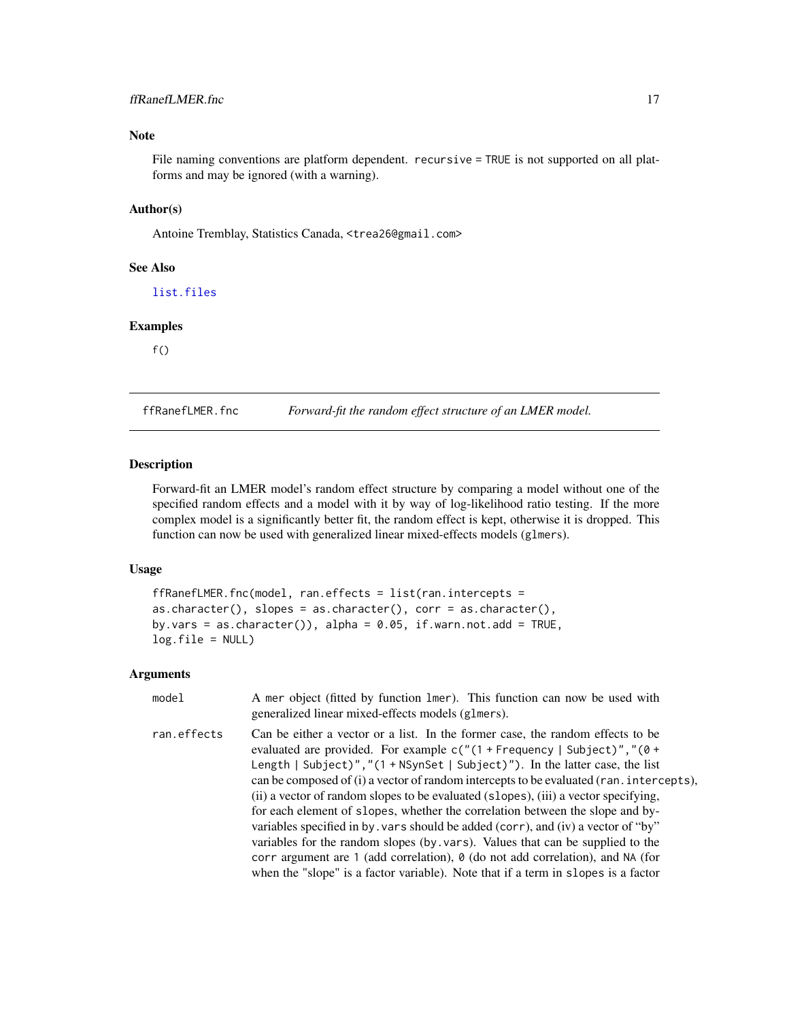# <span id="page-16-0"></span>ffRanefLMER.fnc 17

# Note

File naming conventions are platform dependent. recursive = TRUE is not supported on all platforms and may be ignored (with a warning).

# Author(s)

Antoine Tremblay, Statistics Canada, <trea26@gmail.com>

#### See Also

[list.files](#page-0-0)

### Examples

 $f()$ 

<span id="page-16-1"></span>ffRanefLMER.fnc *Forward-fit the random effect structure of an LMER model.*

#### Description

Forward-fit an LMER model's random effect structure by comparing a model without one of the specified random effects and a model with it by way of log-likelihood ratio testing. If the more complex model is a significantly better fit, the random effect is kept, otherwise it is dropped. This function can now be used with generalized linear mixed-effects models (glmers).

# Usage

```
ffRanefLMER.fnc(model, ran.effects = list(ran.intercepts =
as.character(), slopes = as.character(), corr = as.character(),
by.vars = as.character()), alpha = 0.05, if.warn.not.add = TRUE,
log.fitle = NULL)
```

| model       | A mer object (fitted by function lmer). This function can now be used with<br>generalized linear mixed-effects models (glmers).                                                                                                                                                                                                                                                                                                                                                                                                                                                                                                                                                                                                                                                                                                                                                          |
|-------------|------------------------------------------------------------------------------------------------------------------------------------------------------------------------------------------------------------------------------------------------------------------------------------------------------------------------------------------------------------------------------------------------------------------------------------------------------------------------------------------------------------------------------------------------------------------------------------------------------------------------------------------------------------------------------------------------------------------------------------------------------------------------------------------------------------------------------------------------------------------------------------------|
| ran.effects | Can be either a vector or a list. In the former case, the random effects to be<br>evaluated are provided. For example $c''(1 + F$ requency   Subject)", "(0 +<br>Length   Subject)", " $(1 + N\text{SynSet} \mid \text{Subject})$ "). In the latter case, the list<br>can be composed of (i) a vector of random intercepts to be evaluated (ran. intercepts),<br>(ii) a vector of random slopes to be evaluated (slopes), (iii) a vector specifying,<br>for each element of slopes, whether the correlation between the slope and by-<br>variables specified in by vars should be added (corr), and (iv) a vector of "by"<br>variables for the random slopes (by vars). Values that can be supplied to the<br>corr argument are 1 (add correlation), $\theta$ (do not add correlation), and NA (for<br>when the "slope" is a factor variable). Note that if a term in slopes is a factor |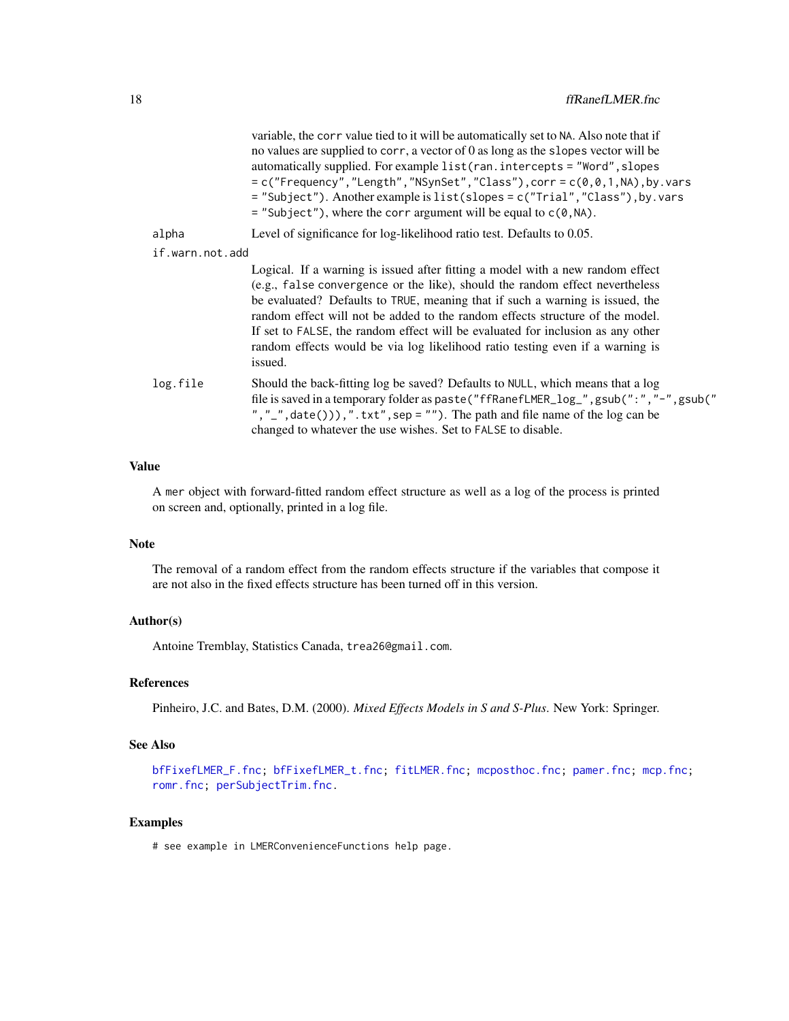<span id="page-17-0"></span>

|                 | variable, the corr value tied to it will be automatically set to NA. Also note that if<br>no values are supplied to corr, a vector of 0 as long as the slopes vector will be<br>automatically supplied. For example list (ran. intercepts = "Word", slopes<br>$= c("Frequency", "Length", "NSynSet", "Class"), corr = c(\emptyset, \emptyset, 1, NA), by vars$<br>= "Subject"). Another example is list(slopes = c("Trial", "Class"), by. vars<br>$=$ "Subject"), where the corr argument will be equal to $c(0, NA)$ . |
|-----------------|-------------------------------------------------------------------------------------------------------------------------------------------------------------------------------------------------------------------------------------------------------------------------------------------------------------------------------------------------------------------------------------------------------------------------------------------------------------------------------------------------------------------------|
| alpha           | Level of significance for log-likelihood ratio test. Defaults to 0.05.                                                                                                                                                                                                                                                                                                                                                                                                                                                  |
| if.warn.not.add |                                                                                                                                                                                                                                                                                                                                                                                                                                                                                                                         |
|                 | Logical. If a warning is issued after fitting a model with a new random effect<br>(e.g., false convergence or the like), should the random effect nevertheless<br>be evaluated? Defaults to TRUE, meaning that if such a warning is issued, the<br>random effect will not be added to the random effects structure of the model.<br>If set to FALSE, the random effect will be evaluated for inclusion as any other<br>random effects would be via log likelihood ratio testing even if a warning is<br>issued.         |
| log.file        | Should the back-fitting log be saved? Defaults to NULL, which means that a log<br>file is saved in a temporary folder as paste ("ffRanefLMER_log_", gsub (":","-", gsub ("<br>", "_", date())), ". txt", sep = ""). The path and file name of the $log can be$<br>changed to whatever the use wishes. Set to FALSE to disable.                                                                                                                                                                                          |

# Value

A mer object with forward-fitted random effect structure as well as a log of the process is printed on screen and, optionally, printed in a log file.

# Note

The removal of a random effect from the random effects structure if the variables that compose it are not also in the fixed effects structure has been turned off in this version.

#### Author(s)

Antoine Tremblay, Statistics Canada, trea26@gmail.com.

# References

Pinheiro, J.C. and Bates, D.M. (2000). *Mixed Effects Models in S and S-Plus*. New York: Springer.

# See Also

[bfFixefLMER\\_F.fnc;](#page-6-1) [bfFixefLMER\\_t.fnc;](#page-10-1) [fitLMER.fnc;](#page-18-1) [mcposthoc.fnc;](#page-23-1) [pamer.fnc;](#page-27-1) [mcp.fnc;](#page-22-1) [romr.fnc;](#page-38-1) [perSubjectTrim.fnc.](#page-28-1)

# Examples

# see example in LMERConvenienceFunctions help page.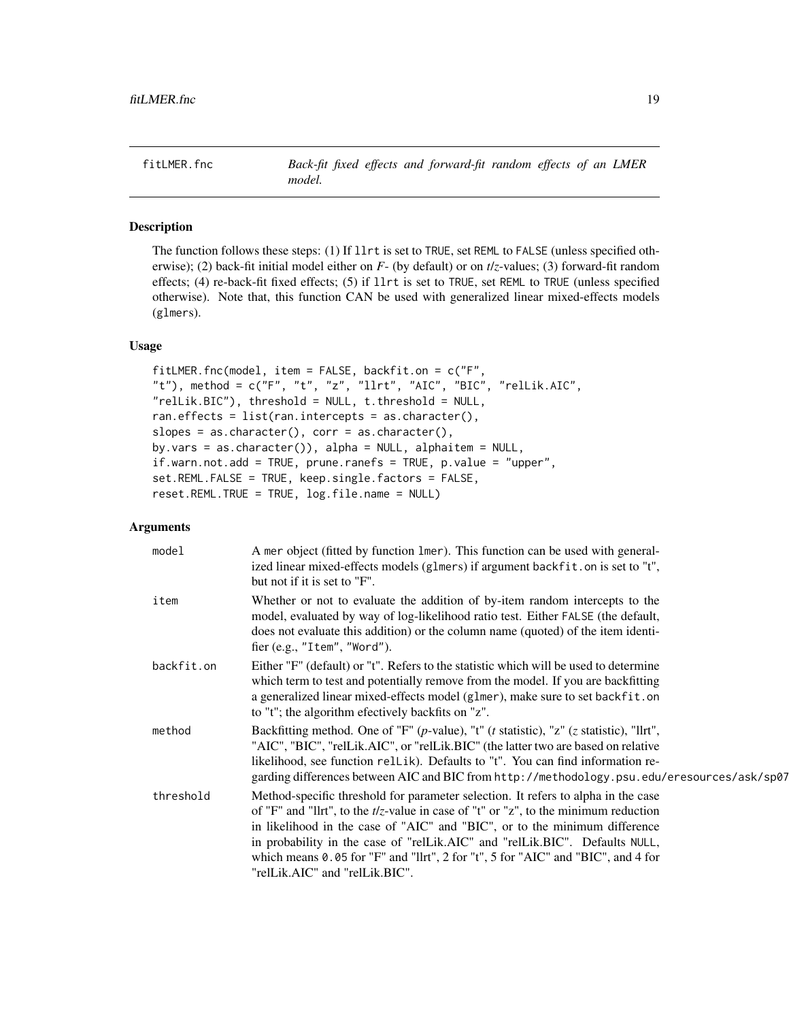<span id="page-18-1"></span><span id="page-18-0"></span>fitLMER.fnc *Back-fit fixed effects and forward-fit random effects of an LMER model.*

# Description

The function follows these steps: (1) If llrt is set to TRUE, set REML to FALSE (unless specified otherwise); (2) back-fit initial model either on *F*- (by default) or on *t*/*z*-values; (3) forward-fit random effects; (4) re-back-fit fixed effects; (5) if llrt is set to TRUE, set REML to TRUE (unless specified otherwise). Note that, this function CAN be used with generalized linear mixed-effects models (glmers).

# Usage

```
fitLMER.fnc(model, item = FALSE, backfit.on = c("F",
"t"), method = c("F", "t", "z", "llrt", "AIC", "BIC", "relLik.AIC",
"relLik.BIC"), threshold = NULL, t.threshold = NULL,
ran.effects = list(ran.intercepts = as.character(),
slopes = as.character(), corr = as.character(),
by.vars = as.character()), alpha = NULL, alphaitem = NULL,
if.warn.not.add = TRUE, prune.ranefs = TRUE, p.value = "upper",
set.REML.FALSE = TRUE, keep.single.factors = FALSE,
reset.REML.TRUE = TRUE, log.file.name = NULL)
```

| model      | A mer object (fitted by function lmer). This function can be used with general-<br>ized linear mixed-effects models (glmers) if argument backfit.on is set to "t",<br>but not if it is set to "F".                                                                                                                                                                                                                                                             |
|------------|----------------------------------------------------------------------------------------------------------------------------------------------------------------------------------------------------------------------------------------------------------------------------------------------------------------------------------------------------------------------------------------------------------------------------------------------------------------|
| item       | Whether or not to evaluate the addition of by-item random intercepts to the<br>model, evaluated by way of log-likelihood ratio test. Either FALSE (the default,<br>does not evaluate this addition) or the column name (quoted) of the item identi-<br>fier (e.g., "Item", "Word").                                                                                                                                                                            |
| backfit.on | Either "F" (default) or "t". Refers to the statistic which will be used to determine<br>which term to test and potentially remove from the model. If you are backfitting<br>a generalized linear mixed-effects model (glmer), make sure to set backfit.on<br>to "t"; the algorithm efectively backfits on "z".                                                                                                                                                 |
| method     | Backfitting method. One of "F" (p-value), "t" ( $t$ statistic), "z" ( $z$ statistic), "llrt",<br>"AIC", "BIC", "relLik.AIC", or "relLik.BIC" (the latter two are based on relative<br>likelihood, see function rellik). Defaults to "t". You can find information re-<br>garding differences between AIC and BIC from http://methodology.psu.edu/eresources/ask/sp07                                                                                           |
| threshold  | Method-specific threshold for parameter selection. It refers to alpha in the case<br>of "F" and "llrt", to the $t/z$ -value in case of "t" or "z", to the minimum reduction<br>in likelihood in the case of "AIC" and "BIC", or to the minimum difference<br>in probability in the case of "rellak.AIC" and "rellak.BIC". Defaults NULL,<br>which means 0.05 for "F" and "llrt", 2 for "t", 5 for "AIC" and "BIC", and 4 for<br>"relLik.AIC" and "relLik.BIC". |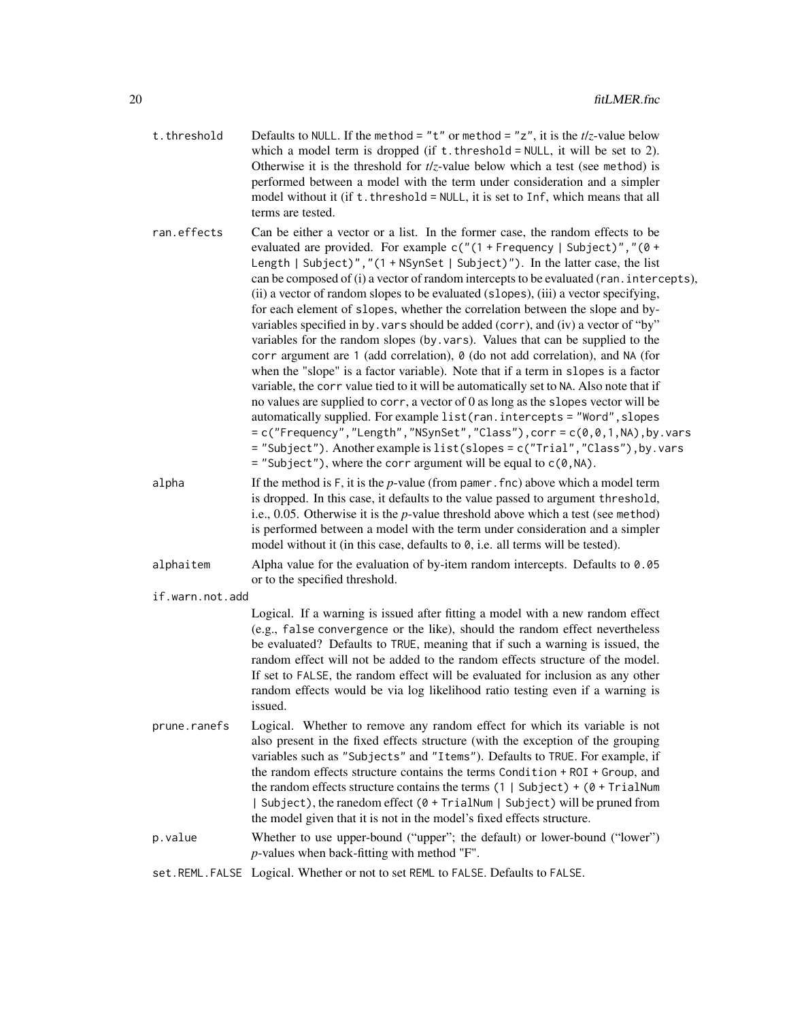| t.threshold     | Defaults to NULL. If the method = "t" or method = "z", it is the $t/z$ -value below<br>which a model term is dropped (if $t$ . threshold = NULL, it will be set to 2).<br>Otherwise it is the threshold for $t/z$ -value below which a test (see method) is<br>performed between a model with the term under consideration and a simpler<br>model without it (if t. threshold = NULL, it is set to Inf, which means that all<br>terms are tested.                                                                                                                                                                                                                                                                                                                                                                                                                                                                                                                                                                                                                                                                                                                                                                                                                                                                                                                       |
|-----------------|-------------------------------------------------------------------------------------------------------------------------------------------------------------------------------------------------------------------------------------------------------------------------------------------------------------------------------------------------------------------------------------------------------------------------------------------------------------------------------------------------------------------------------------------------------------------------------------------------------------------------------------------------------------------------------------------------------------------------------------------------------------------------------------------------------------------------------------------------------------------------------------------------------------------------------------------------------------------------------------------------------------------------------------------------------------------------------------------------------------------------------------------------------------------------------------------------------------------------------------------------------------------------------------------------------------------------------------------------------------------------|
| ran.effects     | Can be either a vector or a list. In the former case, the random effects to be<br>evaluated are provided. For example $c("1 + F$ requency   Subject)", "(0 +<br>Length   Subject)","(1 + NSynSet   Subject)"). In the latter case, the list<br>can be composed of (i) a vector of random intercepts to be evaluated (ran. intercepts),<br>(ii) a vector of random slopes to be evaluated (slopes), (iii) a vector specifying,<br>for each element of slopes, whether the correlation between the slope and by-<br>variables specified in by. vars should be added (corr), and (iv) a vector of "by"<br>variables for the random slopes (by.vars). Values that can be supplied to the<br>corr argument are 1 (add correlation), 0 (do not add correlation), and NA (for<br>when the "slope" is a factor variable). Note that if a term in slopes is a factor<br>variable, the corr value tied to it will be automatically set to NA. Also note that if<br>no values are supplied to corr, a vector of 0 as long as the slopes vector will be<br>automatically supplied. For example list (ran. intercepts = "Word", slopes<br>$= c("Frequency", "Length", "NSynSet", "Class"), corr = c(0, 0, 1, NA), by .vars$<br>= "Subject"). Another example is list(slopes = c("Trial", "Class"), by. vars<br>$=$ "Subject"), where the corr argument will be equal to $c(0, NA)$ . |
| alpha           | If the method is $F$ , it is the $p$ -value (from pamer. fnc) above which a model term<br>is dropped. In this case, it defaults to the value passed to argument threshold,<br>i.e., 0.05. Otherwise it is the $p$ -value threshold above which a test (see method)<br>is performed between a model with the term under consideration and a simpler<br>model without it (in this case, defaults to $\theta$ , i.e. all terms will be tested).                                                                                                                                                                                                                                                                                                                                                                                                                                                                                                                                                                                                                                                                                                                                                                                                                                                                                                                            |
| alphaitem       | Alpha value for the evaluation of by-item random intercepts. Defaults to $0.05$<br>or to the specified threshold.                                                                                                                                                                                                                                                                                                                                                                                                                                                                                                                                                                                                                                                                                                                                                                                                                                                                                                                                                                                                                                                                                                                                                                                                                                                       |
| if.warn.not.add |                                                                                                                                                                                                                                                                                                                                                                                                                                                                                                                                                                                                                                                                                                                                                                                                                                                                                                                                                                                                                                                                                                                                                                                                                                                                                                                                                                         |
|                 | Logical. If a warning is issued after fitting a model with a new random effect<br>(e.g., false convergence or the like), should the random effect nevertheless<br>be evaluated? Defaults to TRUE, meaning that if such a warning is issued, the<br>random effect will not be added to the random effects structure of the model.<br>If set to FALSE, the random effect will be evaluated for inclusion as any other<br>random effects would be via log likelihood ratio testing even if a warning is<br>issued.                                                                                                                                                                                                                                                                                                                                                                                                                                                                                                                                                                                                                                                                                                                                                                                                                                                         |
| prune.ranefs    | Logical. Whether to remove any random effect for which its variable is not<br>also present in the fixed effects structure (with the exception of the grouping<br>variables such as "Subjects" and "Items"). Defaults to TRUE. For example, if<br>the random effects structure contains the terms Condition + ROI + Group, and<br>the random effects structure contains the terms $(1   Subject) + (0 + TrialNum)$<br>  Subject), the ranedom effect (0 + TrialNum   Subject) will be pruned from<br>the model given that it is not in the model's fixed effects structure.                                                                                                                                                                                                                                                                                                                                                                                                                                                                                                                                                                                                                                                                                                                                                                                              |
| p.value         | Whether to use upper-bound ("upper"; the default) or lower-bound ("lower")<br>$p$ -values when back-fitting with method "F".                                                                                                                                                                                                                                                                                                                                                                                                                                                                                                                                                                                                                                                                                                                                                                                                                                                                                                                                                                                                                                                                                                                                                                                                                                            |
|                 | $c = D \cdot C$ 1.                                                                                                                                                                                                                                                                                                                                                                                                                                                                                                                                                                                                                                                                                                                                                                                                                                                                                                                                                                                                                                                                                                                                                                                                                                                                                                                                                      |

set.REML.FALSE Logical. Whether or not to set REML to FALSE. Defaults to FALSE.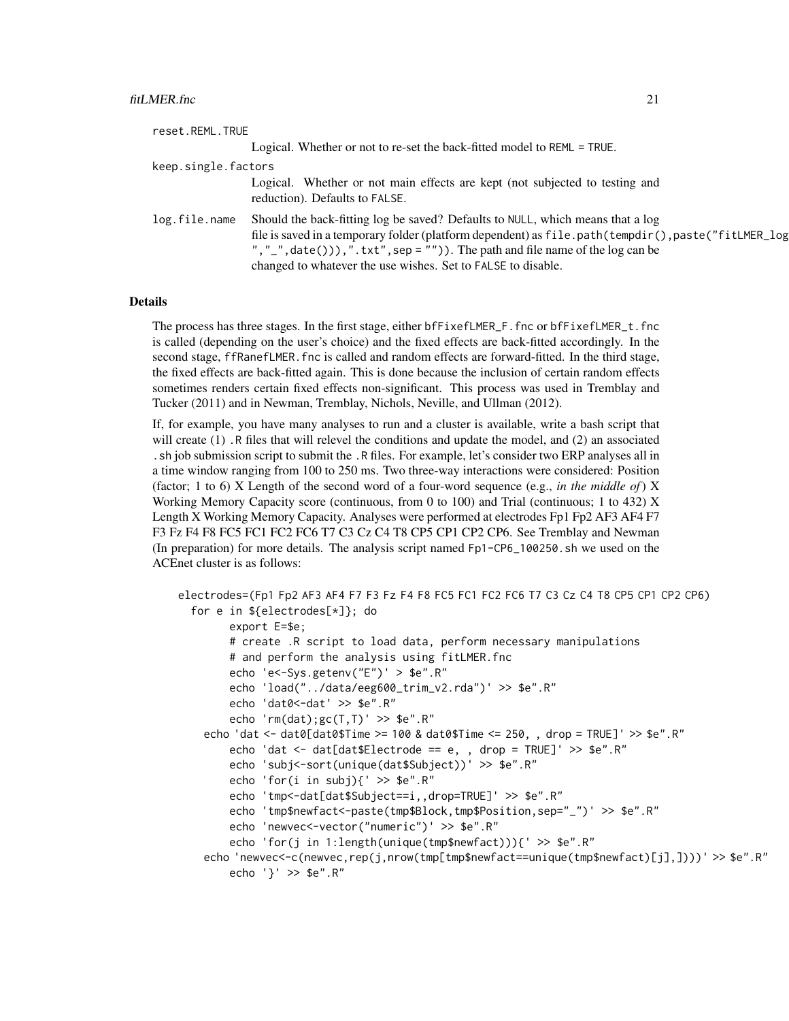| reset.REML.TRUE     |                                                                                                                                                                                                                                                                                                                                          |
|---------------------|------------------------------------------------------------------------------------------------------------------------------------------------------------------------------------------------------------------------------------------------------------------------------------------------------------------------------------------|
|                     | Logical. Whether or not to re-set the back-fitted model to REML = TRUE.                                                                                                                                                                                                                                                                  |
| keep.single.factors |                                                                                                                                                                                                                                                                                                                                          |
|                     | Logical. Whether or not main effects are kept (not subjected to testing and<br>reduction). Defaults to FALSE.                                                                                                                                                                                                                            |
| log.file.name       | Should the back-fitting log be saved? Defaults to NULL, which means that a log<br>file is saved in a temporary folder (platform dependent) as file.path(tempdir(),paste("fitLMER_log<br>", "_", date())), ".txt", sep = "")). The path and file name of the $log can be$<br>changed to whatever the use wishes. Set to FALSE to disable. |

#### Details

The process has three stages. In the first stage, either bfFixefLMER\_F.fnc or bfFixefLMER\_t.fnc is called (depending on the user's choice) and the fixed effects are back-fitted accordingly. In the second stage, ffRanefLMER. fnc is called and random effects are forward-fitted. In the third stage, the fixed effects are back-fitted again. This is done because the inclusion of certain random effects sometimes renders certain fixed effects non-significant. This process was used in Tremblay and Tucker (2011) and in Newman, Tremblay, Nichols, Neville, and Ullman (2012).

If, for example, you have many analyses to run and a cluster is available, write a bash script that will create (1). R files that will relevel the conditions and update the model, and (2) an associated .sh job submission script to submit the .R files. For example, let's consider two ERP analyses all in a time window ranging from 100 to 250 ms. Two three-way interactions were considered: Position (factor; 1 to 6) X Length of the second word of a four-word sequence (e.g., *in the middle of*) X Working Memory Capacity score (continuous, from 0 to 100) and Trial (continuous; 1 to 432) X Length X Working Memory Capacity. Analyses were performed at electrodes Fp1 Fp2 AF3 AF4 F7 F3 Fz F4 F8 FC5 FC1 FC2 FC6 T7 C3 Cz C4 T8 CP5 CP1 CP2 CP6. See Tremblay and Newman (In preparation) for more details. The analysis script named Fp1-CP6\_100250.sh we used on the ACEnet cluster is as follows:

```
electrodes=(Fp1 Fp2 AF3 AF4 F7 F3 Fz F4 F8 FC5 FC1 FC2 FC6 T7 C3 Cz C4 T8 CP5 CP1 CP2 CP6)
  for e in ${electrodes[*]}; do
        export E=$e;
        # create .R script to load data, perform necessary manipulations
        # and perform the analysis using fitLMER.fnc
        echo 'e<-Sys.getenv("E")' > $e".R"
        echo 'load("../data/eeg600_trim_v2.rda")' >> $e".R"
        echo 'dat0 <- dat' >> $e".R"
        echo 'rm(dat);gc(T,T)' >> $e".R"
    echo 'dat <- dat0[dat0$Time >= 100 & dat0$Time <= 250, , drop = TRUE]' >> $e".R"
        echo 'dat <- dat[dat$Electrode == e, , drop = TRUE]' >> $e".R"
        echo 'subj<-sort(unique(dat$Subject))' >> $e".R"
        echo 'for(i in subj){' >> $e".R"
        echo 'tmp<-dat[dat$Subject==i,,drop=TRUE]' >> $e".R"
        echo 'tmp$newfact<-paste(tmp$Block,tmp$Position,sep="_")' >> $e".R"
        echo 'newvec<-vector("numeric")' >> $e".R"
        echo 'for(j in 1:length(unique(tmp$newfact))){' >> $e".R"
    echo 'newvec<-c(newvec,rep(j,nrow(tmp[tmp$newfact==unique(tmp$newfact)[j],])))' >> $e".R"
        echo '}' >> $e".R"
```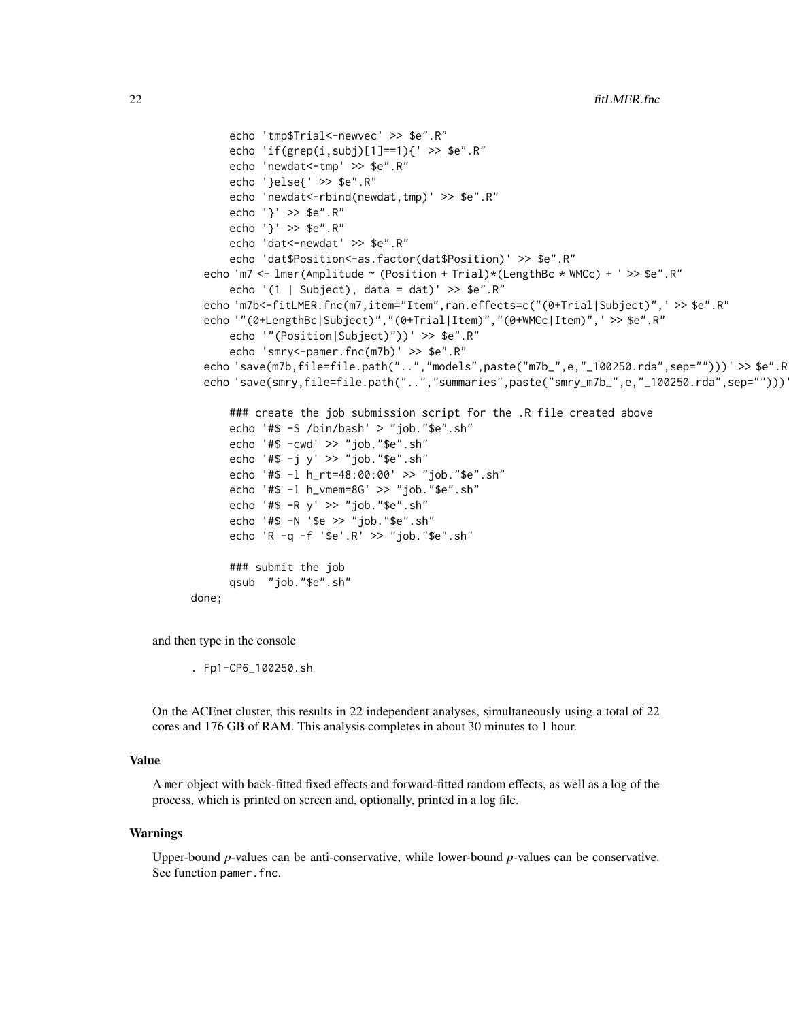```
echo 'tmp$Trial<-newvec' >> $e".R"
      echo 'if(grep(i,subj)[1]==1){' >> $e".R"
      echo 'newdat<-tmp' >> $e".R"
      echo '}else{' >> $e".R"
      echo 'newdat<-rbind(newdat,tmp)' >> $e".R"
      echo '}' >> $e".R"
      echo '}' >> $e".R"
      echo 'dat<-newdat' >> $e".R"
      echo 'dat$Position<-as.factor(dat$Position)' >> $e".R"
 echo 'm7 <- lmer(Amplitude ~ (Position + Trial)*(LengthBc * WMCc) + ' >> $e".R"
      echo '(1 | Subject), data = dat)' >> $e".R"
 echo 'm7b<-fitLMER.fnc(m7,item="Item",ran.effects=c("(0+Trial|Subject)",' >> $e".R"
 echo '"(0+LengthBc|Subject)","(0+Trial|Item)","(0+WMCc|Item)",' >> $e".R"
      echo '"(Position|Subject)"))' >> $e".R"
      echo 'smry<-pamer.fnc(m7b)' >> $e".R"
  echo 'save(m7b,file=file.path("..","models",paste("m7b_",e,"_100250.rda",sep="")))' >> $e".R
 echo 'save(smry,file=file.path("..","summaries",paste("smry_m7b_",e,"_100250.rda",sep="")))
      ### create the job submission script for the .R file created above
      echo '#$ -S /bin/bash' > "job."$e".sh"
      echo '#$ -cwd' >> "job."$e".sh"
      echo '#$ -j y' >> "job."$e".sh"
      echo '#$ -l h_rt=48:00:00' >> "job."$e".sh"
      echo '#$ -l h_vmem=8G' >> "job."$e".sh"
      echo '#$ -R y' >> "job."$e".sh"
      echo '#$ -N '$e >> "job."$e".sh"
      echo 'R -q -f '$e'.R' >> "job."$e".sh"
      ### submit the job
      qsub "job."$e".sh"
done;
```
and then type in the console

. Fp1-CP6\_100250.sh

On the ACEnet cluster, this results in 22 independent analyses, simultaneously using a total of 22 cores and 176 GB of RAM. This analysis completes in about 30 minutes to 1 hour.

#### Value

A mer object with back-fitted fixed effects and forward-fitted random effects, as well as a log of the process, which is printed on screen and, optionally, printed in a log file.

#### Warnings

Upper-bound *p*-values can be anti-conservative, while lower-bound *p*-values can be conservative. See function pamer.fnc.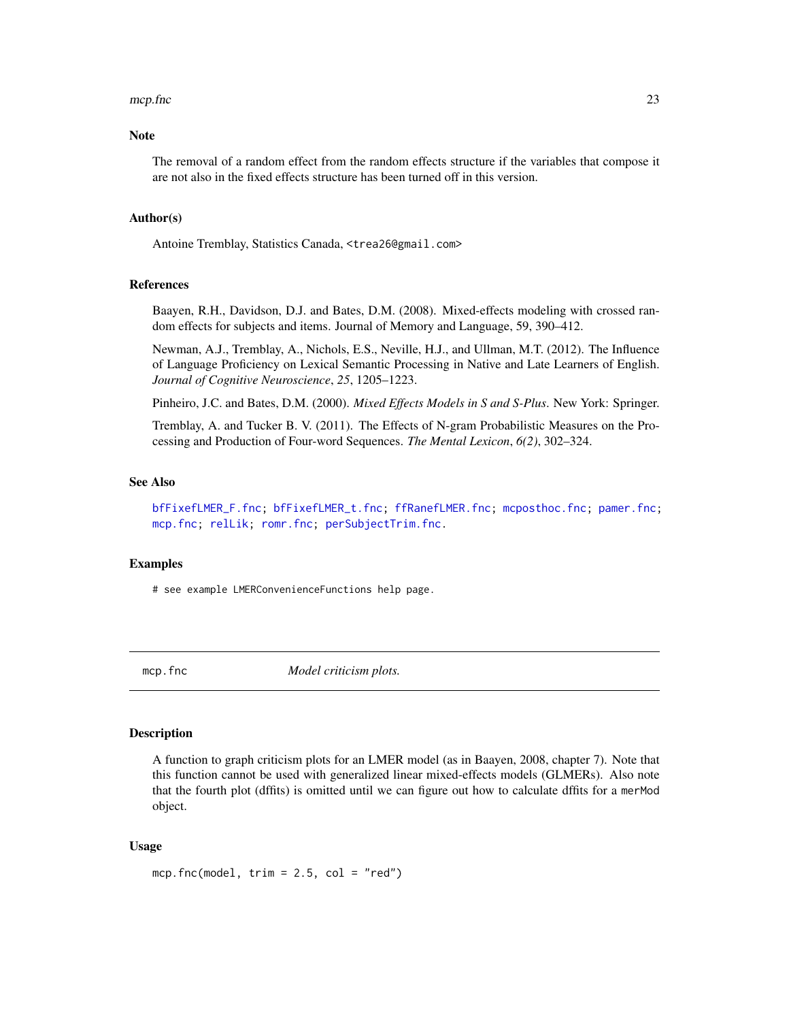#### <span id="page-22-0"></span>mcp.fnc 23

# Note

The removal of a random effect from the random effects structure if the variables that compose it are not also in the fixed effects structure has been turned off in this version.

#### Author(s)

Antoine Tremblay, Statistics Canada, <trea26@gmail.com>

#### References

Baayen, R.H., Davidson, D.J. and Bates, D.M. (2008). Mixed-effects modeling with crossed random effects for subjects and items. Journal of Memory and Language, 59, 390–412.

Newman, A.J., Tremblay, A., Nichols, E.S., Neville, H.J., and Ullman, M.T. (2012). The Influence of Language Proficiency on Lexical Semantic Processing in Native and Late Learners of English. *Journal of Cognitive Neuroscience*, *25*, 1205–1223.

Pinheiro, J.C. and Bates, D.M. (2000). *Mixed Effects Models in S and S-Plus*. New York: Springer.

Tremblay, A. and Tucker B. V. (2011). The Effects of N-gram Probabilistic Measures on the Processing and Production of Four-word Sequences. *The Mental Lexicon*, *6(2)*, 302–324.

#### See Also

[bfFixefLMER\\_F.fnc;](#page-6-1) [bfFixefLMER\\_t.fnc;](#page-10-1) [ffRanefLMER.fnc;](#page-16-1) [mcposthoc.fnc;](#page-23-1) [pamer.fnc;](#page-27-1) [mcp.fnc;](#page-22-1) [relLik;](#page-37-1) [romr.fnc;](#page-38-1) [perSubjectTrim.fnc.](#page-28-1)

#### Examples

# see example LMERConvenienceFunctions help page.

<span id="page-22-1"></span>mcp.fnc *Model criticism plots.*

#### Description

A function to graph criticism plots for an LMER model (as in Baayen, 2008, chapter 7). Note that this function cannot be used with generalized linear mixed-effects models (GLMERs). Also note that the fourth plot (dffits) is omitted until we can figure out how to calculate dffits for a merMod object.

#### Usage

mcp.fnc(model,  $trim = 2.5$ ,  $col = "red")$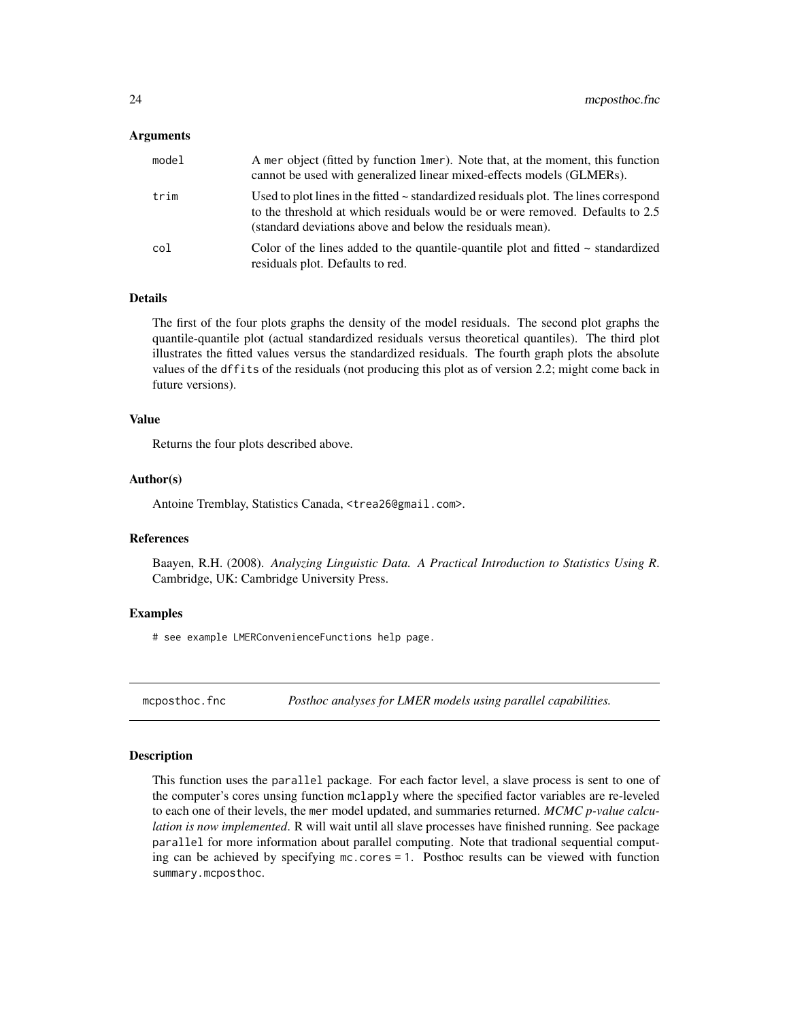#### <span id="page-23-0"></span>Arguments

| model | A mer object (fitted by function 1mer). Note that, at the moment, this function<br>cannot be used with generalized linear mixed-effects models (GLMERs).                                                                                |
|-------|-----------------------------------------------------------------------------------------------------------------------------------------------------------------------------------------------------------------------------------------|
| trim  | Used to plot lines in the fitted $\sim$ standardized residuals plot. The lines correspond<br>to the threshold at which residuals would be or were removed. Defaults to 2.5<br>(standard deviations above and below the residuals mean). |
| col   | Color of the lines added to the quantile-quantile plot and fitted $\sim$ standardized<br>residuals plot. Defaults to red.                                                                                                               |

# Details

The first of the four plots graphs the density of the model residuals. The second plot graphs the quantile-quantile plot (actual standardized residuals versus theoretical quantiles). The third plot illustrates the fitted values versus the standardized residuals. The fourth graph plots the absolute values of the dffits of the residuals (not producing this plot as of version 2.2; might come back in future versions).

# Value

Returns the four plots described above.

#### Author(s)

Antoine Tremblay, Statistics Canada, <trea26@gmail.com>.

# References

Baayen, R.H. (2008). *Analyzing Linguistic Data. A Practical Introduction to Statistics Using R*. Cambridge, UK: Cambridge University Press.

### Examples

# see example LMERConvenienceFunctions help page.

<span id="page-23-1"></span>mcposthoc.fnc *Posthoc analyses for LMER models using parallel capabilities.*

#### Description

This function uses the parallel package. For each factor level, a slave process is sent to one of the computer's cores unsing function mclapply where the specified factor variables are re-leveled to each one of their levels, the mer model updated, and summaries returned. *MCMC p-value calculation is now implemented*. R will wait until all slave processes have finished running. See package parallel for more information about parallel computing. Note that tradional sequential computing can be achieved by specifying mc.cores = 1. Posthoc results can be viewed with function summary.mcposthoc.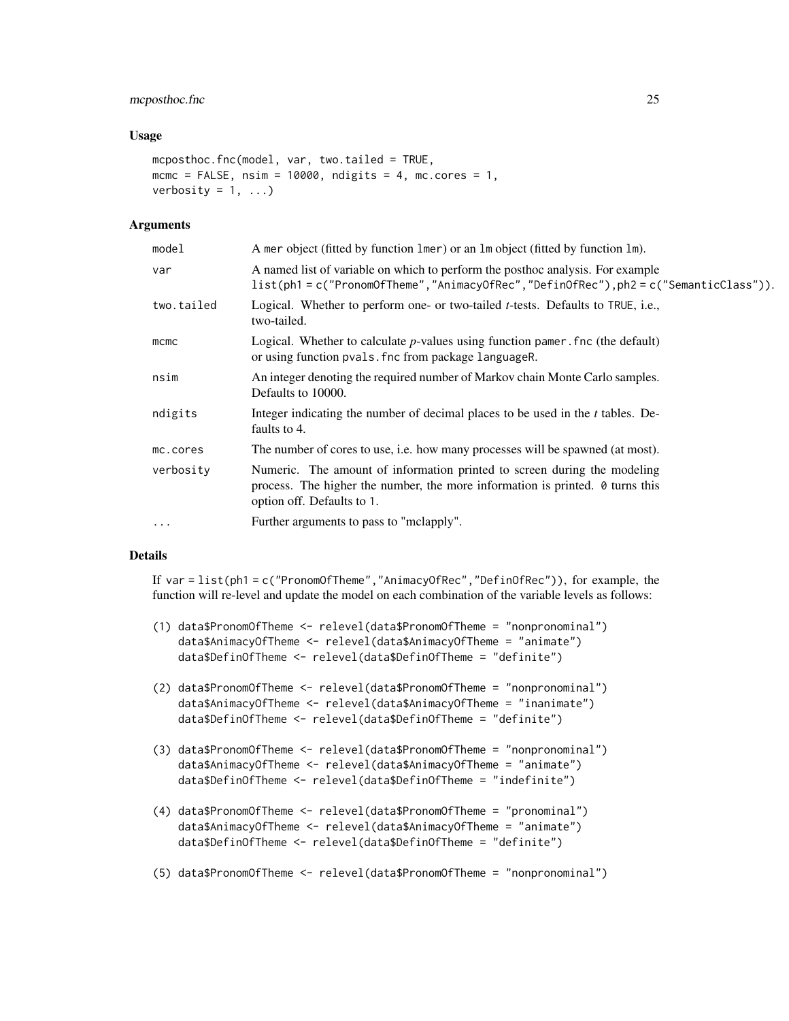# mcposthoc.fnc 25

#### Usage

```
mcposthoc.fnc(model, var, two.tailed = TRUE,
mcmc = FALSE, nsim = 10000, ndigits = 4, mc.cores = 1,
verbosity = 1, ...)
```
# Arguments

| model      | A mer object (fitted by function lmer) or an lm object (fitted by function lm).                                                                                                                |  |
|------------|------------------------------------------------------------------------------------------------------------------------------------------------------------------------------------------------|--|
| var        | A named list of variable on which to perform the posthoc analysis. For example<br>list(ph1=c("PronomOfTheme","AnimacyOfRec","DefinOfRec"),ph2=c("SemanticClass")).                             |  |
| two.tailed | Logical. Whether to perform one- or two-tailed <i>t</i> -tests. Defaults to TRUE, i.e.,<br>two-tailed.                                                                                         |  |
| $m$ cmc    | Logical. Whether to calculate $p$ -values using function pamer. fnc (the default)<br>or using function pvals. fnc from package languageR.                                                      |  |
| nsim       | An integer denoting the required number of Markov chain Monte Carlo samples.<br>Defaults to 10000.                                                                                             |  |
| ndigits    | Integer indicating the number of decimal places to be used in the <i>t</i> tables. De-<br>faults to 4.                                                                                         |  |
| mc.cores   | The number of cores to use, i.e. how many processes will be spawned (at most).                                                                                                                 |  |
| verbosity  | Numeric. The amount of information printed to screen during the modeling<br>process. The higher the number, the more information is printed. $\theta$ turns this<br>option off. Defaults to 1. |  |
| $\ddotsc$  | Further arguments to pass to "melapply".                                                                                                                                                       |  |
|            |                                                                                                                                                                                                |  |

# Details

If var = list(ph1 = c("PronomOfTheme","AnimacyOfRec","DefinOfRec")), for example, the function will re-level and update the model on each combination of the variable levels as follows:

- (1) data\$PronomOfTheme <- relevel(data\$PronomOfTheme = "nonpronominal") data\$AnimacyOfTheme <- relevel(data\$AnimacyOfTheme = "animate") data\$DefinOfTheme <- relevel(data\$DefinOfTheme = "definite")
- (2) data\$PronomOfTheme <- relevel(data\$PronomOfTheme = "nonpronominal") data\$AnimacyOfTheme <- relevel(data\$AnimacyOfTheme = "inanimate") data\$DefinOfTheme <- relevel(data\$DefinOfTheme = "definite")
- (3) data\$PronomOfTheme <- relevel(data\$PronomOfTheme = "nonpronominal") data\$AnimacyOfTheme <- relevel(data\$AnimacyOfTheme = "animate") data\$DefinOfTheme <- relevel(data\$DefinOfTheme = "indefinite")
- (4) data\$PronomOfTheme <- relevel(data\$PronomOfTheme = "pronominal") data\$AnimacyOfTheme <- relevel(data\$AnimacyOfTheme = "animate") data\$DefinOfTheme <- relevel(data\$DefinOfTheme = "definite")
- (5) data\$PronomOfTheme <- relevel(data\$PronomOfTheme = "nonpronominal")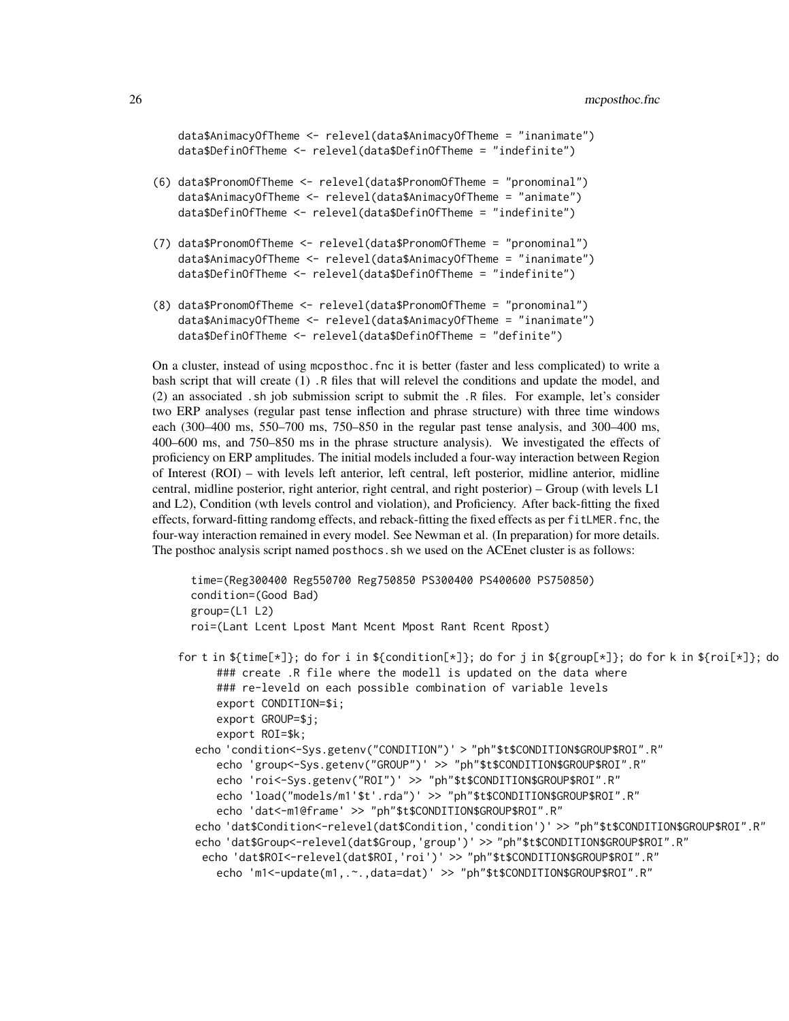```
data$AnimacyOfTheme <- relevel(data$AnimacyOfTheme = "inanimate")
data$DefinOfTheme <- relevel(data$DefinOfTheme = "indefinite")
```
- (6) data\$PronomOfTheme <- relevel(data\$PronomOfTheme = "pronominal") data\$AnimacyOfTheme <- relevel(data\$AnimacyOfTheme = "animate") data\$DefinOfTheme <- relevel(data\$DefinOfTheme = "indefinite")
- (7) data\$PronomOfTheme <- relevel(data\$PronomOfTheme = "pronominal") data\$AnimacyOfTheme <- relevel(data\$AnimacyOfTheme = "inanimate") data\$DefinOfTheme <- relevel(data\$DefinOfTheme = "indefinite")
- (8) data\$PronomOfTheme <- relevel(data\$PronomOfTheme = "pronominal") data\$AnimacyOfTheme <- relevel(data\$AnimacyOfTheme = "inanimate") data\$DefinOfTheme <- relevel(data\$DefinOfTheme = "definite")

On a cluster, instead of using mcposthoc.fnc it is better (faster and less complicated) to write a bash script that will create (1) .R files that will relevel the conditions and update the model, and (2) an associated .sh job submission script to submit the .R files. For example, let's consider two ERP analyses (regular past tense inflection and phrase structure) with three time windows each (300–400 ms, 550–700 ms, 750–850 in the regular past tense analysis, and 300–400 ms, 400–600 ms, and 750–850 ms in the phrase structure analysis). We investigated the effects of proficiency on ERP amplitudes. The initial models included a four-way interaction between Region of Interest (ROI) – with levels left anterior, left central, left posterior, midline anterior, midline central, midline posterior, right anterior, right central, and right posterior) – Group (with levels L1 and L2), Condition (wth levels control and violation), and Proficiency. After back-fitting the fixed effects, forward-fitting randomg effects, and reback-fitting the fixed effects as per fitLMER.fnc, the four-way interaction remained in every model. See Newman et al. (In preparation) for more details. The posthoc analysis script named posthocs.sh we used on the ACEnet cluster is as follows:

```
time=(Reg300400 Reg550700 Reg750850 PS300400 PS400600 PS750850)
 condition=(Good Bad)
 group=(L1 L2)
 roi=(Lant Lcent Lpost Mant Mcent Mpost Rant Rcent Rpost)
for t in ${time[*]}; do for i in ${condition[*]}; do for j in ${group[*]}; do for k in ${roi[*]}; do
     ### create .R file where the modell is updated on the data where
     ### re-leveld on each possible combination of variable levels
     export CONDITION=$i;
     export GROUP=$j;
     export ROI=$k;
  echo 'condition<-Sys.getenv("CONDITION")' > "ph"$t$CONDITION$GROUP$ROI".R"
     echo 'group<-Sys.getenv("GROUP")' >> "ph"$t$CONDITION$GROUP$ROI".R"
     echo 'roi<-Sys.getenv("ROI")' >> "ph"$t$CONDITION$GROUP$ROI".R"
     echo 'load("models/m1'$t'.rda")' >> "ph"$t$CONDITION$GROUP$ROI".R"
     echo 'dat<-m1@frame' >> "ph"$t$CONDITION$GROUP$ROI".R"
  echo 'dat$Condition<-relevel(dat$Condition,'condition')' >> "ph"$t$CONDITION$GROUP$ROI".R"
  echo 'dat$Group<-relevel(dat$Group,'group')' >> "ph"$t$CONDITION$GROUP$ROI".R"
   echo 'dat$ROI<-relevel(dat$ROI,'roi')' >> "ph"$t$CONDITION$GROUP$ROI".R"
     echo 'm1<-update(m1,.~.,data=dat)' >> "ph"$t$CONDITION$GROUP$ROI".R"
```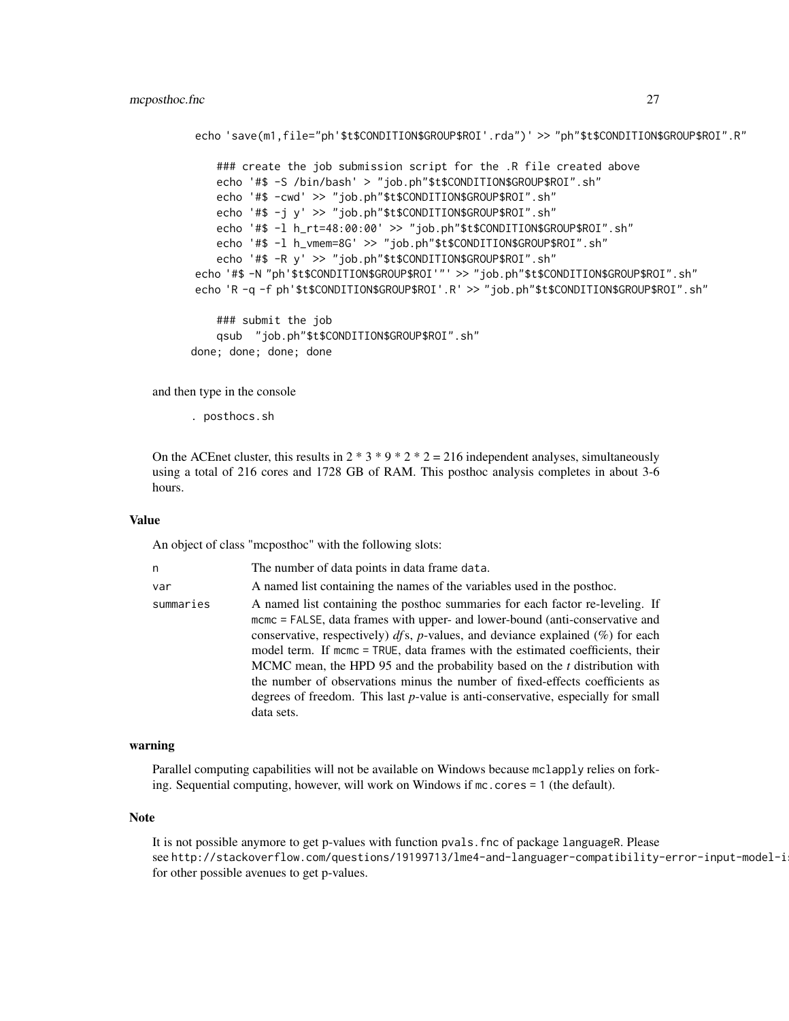```
echo 'save(m1,file="ph'$t$CONDITION$GROUP$ROI'.rda")' >> "ph"$t$CONDITION$GROUP$ROI".R"
```
### create the job submission script for the .R file created above echo '#\$ -S /bin/bash' > "job.ph"\$t\$CONDITION\$GROUP\$ROI".sh" echo '#\$ -cwd' >> "job.ph"\$t\$CONDITION\$GROUP\$ROI".sh" echo '#\$ -j y' >> "job.ph"\$t\$CONDITION\$GROUP\$ROI".sh" echo '#\$ -l h\_rt=48:00:00' >> "job.ph"\$t\$CONDITION\$GROUP\$ROI".sh" echo '#\$ -l h\_vmem=8G' >> "job.ph"\$t\$CONDITION\$GROUP\$ROI".sh" echo '#\$ -R y' >> "job.ph"\$t\$CONDITION\$GROUP\$ROI".sh" echo '#\$ -N "ph'\$t\$CONDITION\$GROUP\$ROI'"' >> "job.ph"\$t\$CONDITION\$GROUP\$ROI".sh" echo 'R -q -f ph'\$t\$CONDITION\$GROUP\$ROI'.R' >> "job.ph"\$t\$CONDITION\$GROUP\$ROI".sh" ### submit the job qsub "job.ph"\$t\$CONDITION\$GROUP\$ROI".sh"

```
done; done; done; done
```
and then type in the console

. posthocs.sh

On the ACEnet cluster, this results in  $2 * 3 * 9 * 2 * 2 = 216$  independent analyses, simultaneously using a total of 216 cores and 1728 GB of RAM. This posthoc analysis completes in about 3-6 hours.

#### Value

An object of class "mcposthoc" with the following slots:

| n         | The number of data points in data frame data.                                                                                                                                                                                                                                                                                                                                                                                                                                                                                                                                                              |
|-----------|------------------------------------------------------------------------------------------------------------------------------------------------------------------------------------------------------------------------------------------------------------------------------------------------------------------------------------------------------------------------------------------------------------------------------------------------------------------------------------------------------------------------------------------------------------------------------------------------------------|
| var       | A named list containing the names of the variables used in the posthoc.                                                                                                                                                                                                                                                                                                                                                                                                                                                                                                                                    |
| summaries | A named list containing the posthoc summaries for each factor re-leveling. If<br>mcmc = FALSE, data frames with upper- and lower-bound (anti-conservative and<br>conservative, respectively) $dfs$ , p-values, and deviance explained $(\%)$ for each<br>model term. If mcmc = TRUE, data frames with the estimated coefficients, their<br>MCMC mean, the HPD 95 and the probability based on the t distribution with<br>the number of observations minus the number of fixed-effects coefficients as<br>degrees of freedom. This last $p$ -value is anti-conservative, especially for small<br>data sets. |

#### warning

Parallel computing capabilities will not be available on Windows because mclapply relies on forking. Sequential computing, however, will work on Windows if mc.cores = 1 (the default).

#### **Note**

It is not possible anymore to get p-values with function pvals.fnc of package languageR. Please see http://stackoverflow.com/questions/19199713/lme4-and-languager-compatibility-error-input-model-i for other possible avenues to get p-values.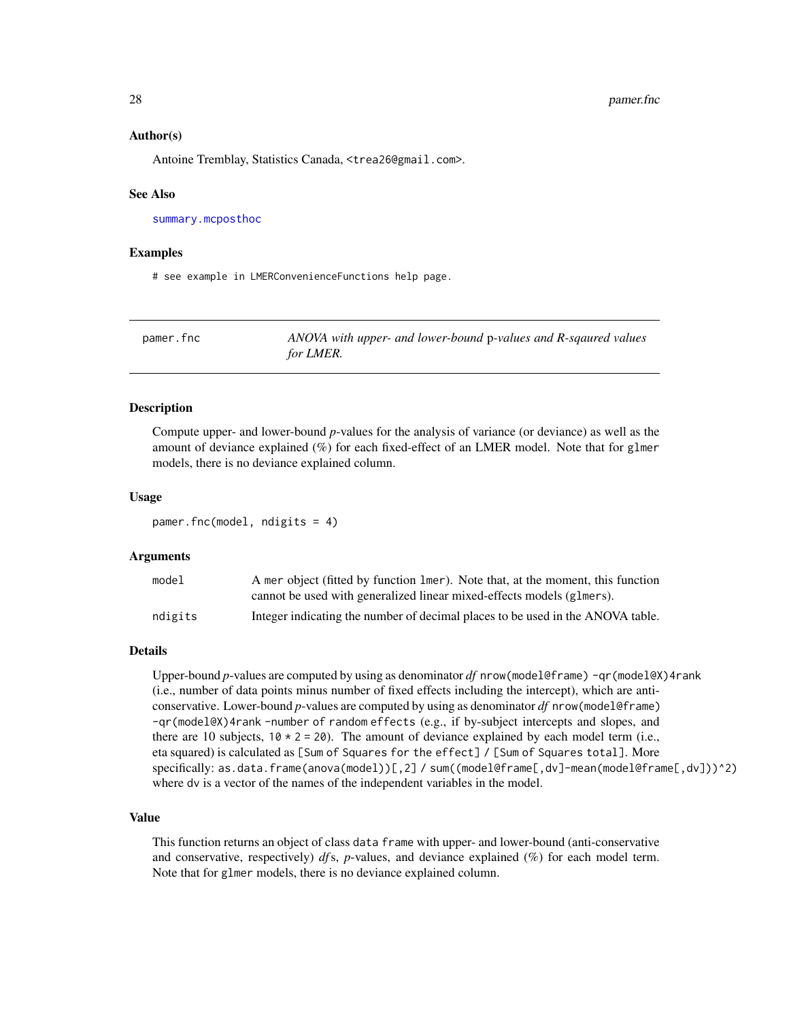#### <span id="page-27-0"></span>Author(s)

Antoine Tremblay, Statistics Canada, <trea26@gmail.com>.

#### See Also

[summary.mcposthoc](#page-39-1)

#### Examples

# see example in LMERConvenienceFunctions help page.

<span id="page-27-1"></span>

| pamer.fnc | ANOVA with upper- and lower-bound p-values and R-sqaured values |
|-----------|-----------------------------------------------------------------|
|           | for LMER.                                                       |

#### Description

Compute upper- and lower-bound *p*-values for the analysis of variance (or deviance) as well as the amount of deviance explained (%) for each fixed-effect of an LMER model. Note that for glmer models, there is no deviance explained column.

#### Usage

pamer.fnc(model, ndigits = 4)

#### Arguments

| model   | A mer object (fitted by function 1mer). Note that, at the moment, this function |
|---------|---------------------------------------------------------------------------------|
|         | cannot be used with generalized linear mixed-effects models (glmers).           |
| ndigits | Integer indicating the number of decimal places to be used in the ANOVA table.  |

#### Details

Upper-bound *p*-values are computed by using as denominator *df* nrow(model@frame) -qr(model@X)4rank (i.e., number of data points minus number of fixed effects including the intercept), which are anticonservative. Lower-bound *p*-values are computed by using as denominator *df* nrow(model@frame) -qr(model@X)4rank -number of random effects (e.g., if by-subject intercepts and slopes, and there are 10 subjects,  $10 \times 2 = 20$ . The amount of deviance explained by each model term (i.e., eta squared) is calculated as [Sum of Squares for the effect] / [Sum of Squares total]. More specifically: as.data.frame(anova(model))[,2] / sum((model@frame[,dv]-mean(model@frame[,dv]))^2) where dv is a vector of the names of the independent variables in the model.

#### Value

This function returns an object of class data frame with upper- and lower-bound (anti-conservative and conservative, respectively) *df* s, *p*-values, and deviance explained (%) for each model term. Note that for glmer models, there is no deviance explained column.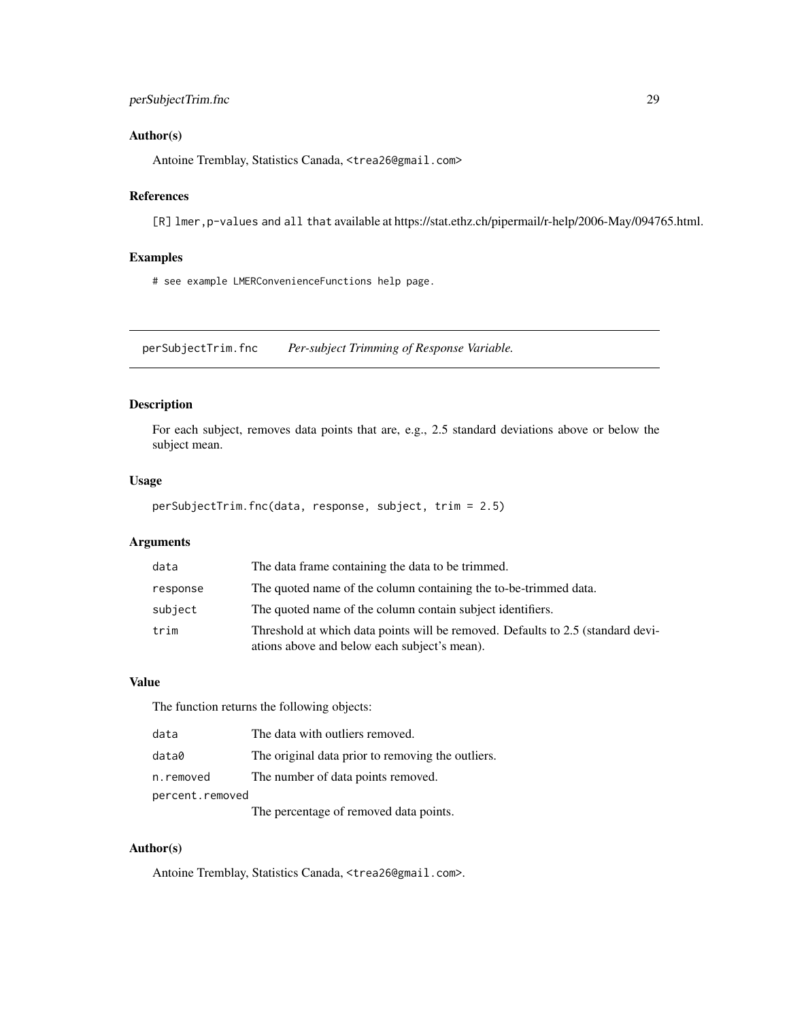# <span id="page-28-0"></span>Author(s)

Antoine Tremblay, Statistics Canada, <trea26@gmail.com>

# References

[R] lmer, p-values and all that available at https://stat.ethz.ch/pipermail/r-help/2006-May/094765.html.

# Examples

# see example LMERConvenienceFunctions help page.

<span id="page-28-1"></span>perSubjectTrim.fnc *Per-subject Trimming of Response Variable.*

# Description

For each subject, removes data points that are, e.g., 2.5 standard deviations above or below the subject mean.

# Usage

perSubjectTrim.fnc(data, response, subject, trim = 2.5)

# Arguments

| data     | The data frame containing the data to be trimmed.                                                                               |
|----------|---------------------------------------------------------------------------------------------------------------------------------|
| response | The quoted name of the column containing the to-be-trimmed data.                                                                |
| subject  | The quoted name of the column contain subject identifiers.                                                                      |
| trim     | Threshold at which data points will be removed. Defaults to 2.5 (standard devi-<br>ations above and below each subject's mean). |

# Value

The function returns the following objects:

| data            | The data with outliers removed.                   |  |
|-----------------|---------------------------------------------------|--|
| data0           | The original data prior to removing the outliers. |  |
| n.removed       | The number of data points removed.                |  |
| percent.removed |                                                   |  |
|                 | The percentage of removed data points.            |  |

#### Author(s)

Antoine Tremblay, Statistics Canada, <trea26@gmail.com>.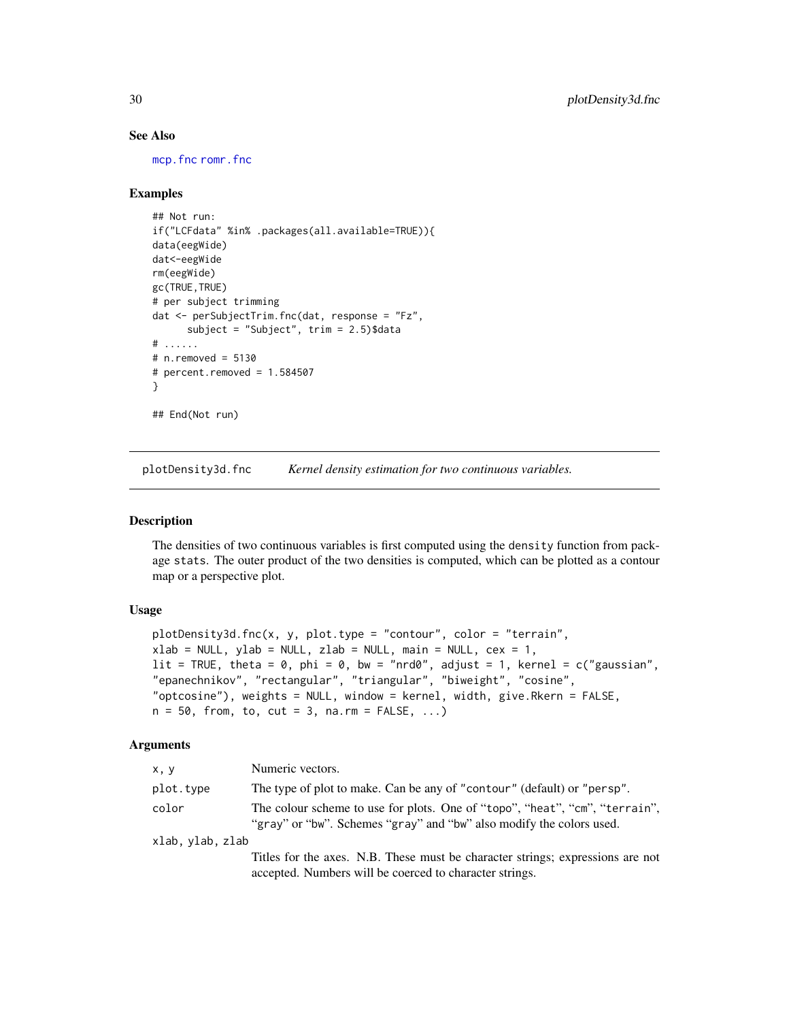# See Also

[mcp.fnc](#page-22-1) [romr.fnc](#page-38-1)

# Examples

```
## Not run:
if("LCFdata" %in% .packages(all.available=TRUE)){
data(eegWide)
dat<-eegWide
rm(eegWide)
gc(TRUE,TRUE)
# per subject trimming
dat <- perSubjectTrim.fnc(dat, response = "Fz",
      subject = "Subject", trim = 2.5)$data
# ......
# n.removed = 5130
# percent.removed = 1.584507
}
## End(Not run)
```
<span id="page-29-1"></span>plotDensity3d.fnc *Kernel density estimation for two continuous variables.*

# Description

The densities of two continuous variables is first computed using the density function from package stats. The outer product of the two densities is computed, which can be plotted as a contour map or a perspective plot.

# Usage

```
plotDensity3d.fnc(x, y, plot.type = "contour", color = "terrain",
xlab = NULL, ylab = NULL, zlab = NULL, main = NULL, cex = 1,
lit = TRUE, theta = 0, phi = 0, bw = "nrd0", adjust = 1, kernel = c("gaussian","epanechnikov", "rectangular", "triangular", "biweight", "cosine",
"optcosine"), weights = NULL, window = kernel, width, give.Rkern = FALSE,
n = 50, from, to, cut = 3, na.rm = FALSE, ...)
```

| x, y             | Numeric vectors.                                                                                                                                    |
|------------------|-----------------------------------------------------------------------------------------------------------------------------------------------------|
| plot.type        | The type of plot to make. Can be any of "contour" (default) or "persp".                                                                             |
| color            | The colour scheme to use for plots. One of "topo", "heat", "cm", "terrain",<br>"gray" or "bw". Schemes "gray" and "bw" also modify the colors used. |
| xlab, ylab, zlab |                                                                                                                                                     |
|                  | Titles for the axes. N.B. These must be character strings; expressions are not<br>accepted. Numbers will be coerced to character strings.           |

<span id="page-29-0"></span>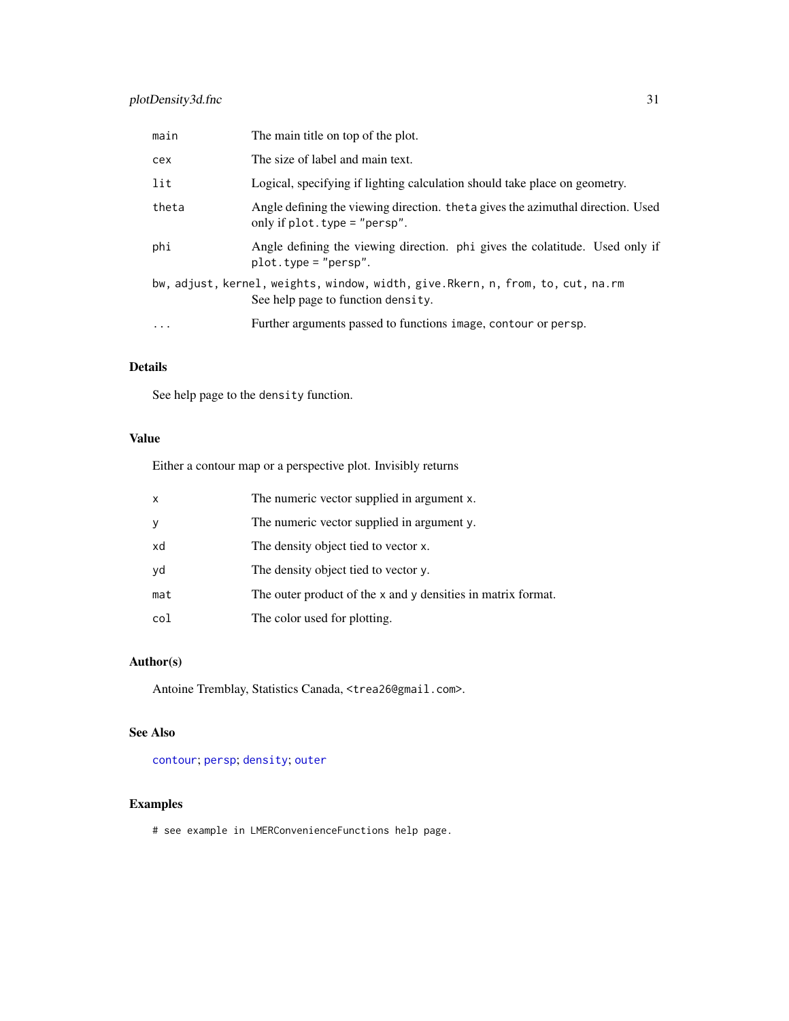<span id="page-30-0"></span>

| main     | The main title on top of the plot.                                                                                        |
|----------|---------------------------------------------------------------------------------------------------------------------------|
| cex      | The size of label and main text.                                                                                          |
| lit      | Logical, specifying if lighting calculation should take place on geometry.                                                |
| theta    | Angle defining the viewing direction. theta gives the azimuthal direction. Used<br>only if $plot.\text{type} = "person".$ |
| phi      | Angle defining the viewing direction. phi gives the colatitude. Used only if<br>$plot.\text{type} = "person".$            |
|          | bw, adjust, kernel, weights, window, width, give. Rkern, n, from, to, cut, na.rm<br>See help page to function density.    |
| $\cdots$ | Further arguments passed to functions image, contour or persp.                                                            |

# Details

See help page to the density function.

# Value

Either a contour map or a perspective plot. Invisibly returns

| $\mathsf{x}$ | The numeric vector supplied in argument x.                   |
|--------------|--------------------------------------------------------------|
| У            | The numeric vector supplied in argument y.                   |
| xd           | The density object tied to vector x.                         |
| yd           | The density object tied to vector y.                         |
| mat          | The outer product of the x and y densities in matrix format. |
| col          | The color used for plotting.                                 |

# Author(s)

Antoine Tremblay, Statistics Canada, <trea26@gmail.com>.

# See Also

[contour](#page-0-0); [persp](#page-0-0); [density](#page-0-0); [outer](#page-0-0)

# Examples

# see example in LMERConvenienceFunctions help page.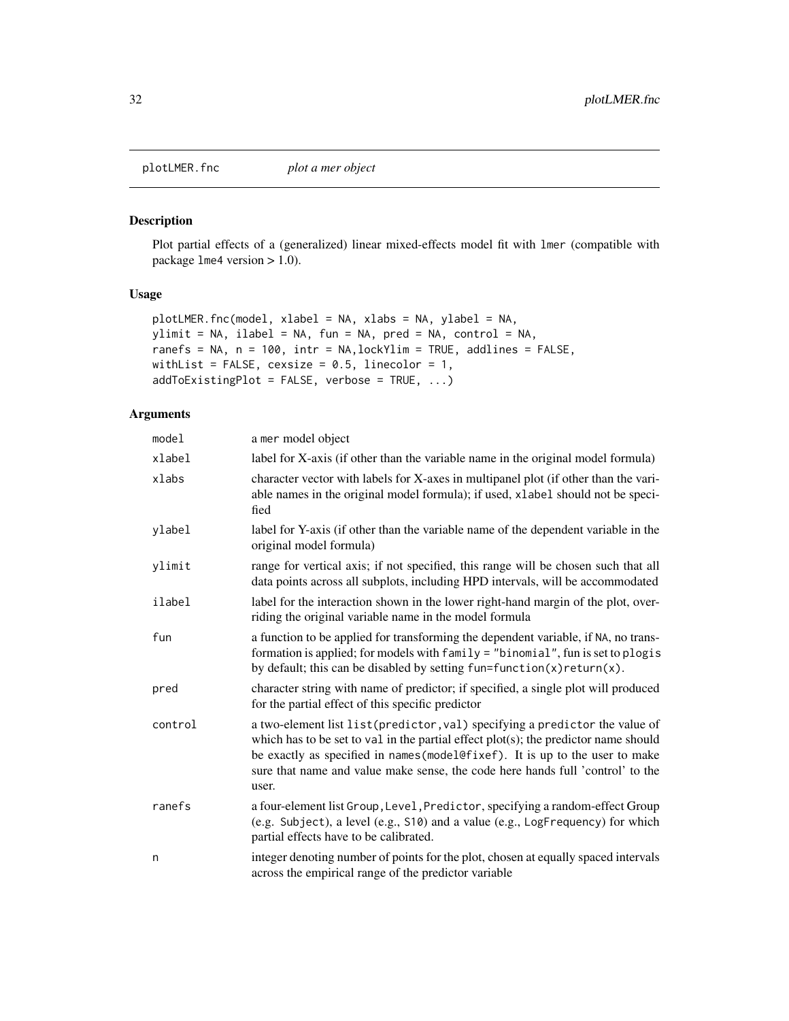<span id="page-31-1"></span><span id="page-31-0"></span>

# Description

Plot partial effects of a (generalized) linear mixed-effects model fit with lmer (compatible with package lme4 version > 1.0).

# Usage

```
plotLMER.fnc(model, xlabel = NA, xlabs = NA, ylabel = NA,
ylimit = NA, ilabel = NA, fun = NA, pred = NA, control = NA,
ranefs = NA, n = 100, intr = NA,lockYlim = TRUE, addlines = FALSE,
withList = FALSE, cexsize = 0.5, linecolor = 1,
addToExistingPlot = FALSE, verbose = TRUE, ...)
```

| model   | a mer model object                                                                                                                                                                                                                                                                                                                                |
|---------|---------------------------------------------------------------------------------------------------------------------------------------------------------------------------------------------------------------------------------------------------------------------------------------------------------------------------------------------------|
| xlabel  | label for X-axis (if other than the variable name in the original model formula)                                                                                                                                                                                                                                                                  |
| xlabs   | character vector with labels for X-axes in multipanel plot (if other than the vari-<br>able names in the original model formula); if used, xlabel should not be speci-<br>fied                                                                                                                                                                    |
| ylabel  | label for Y-axis (if other than the variable name of the dependent variable in the<br>original model formula)                                                                                                                                                                                                                                     |
| ylimit  | range for vertical axis; if not specified, this range will be chosen such that all<br>data points across all subplots, including HPD intervals, will be accommodated                                                                                                                                                                              |
| ilabel  | label for the interaction shown in the lower right-hand margin of the plot, over-<br>riding the original variable name in the model formula                                                                                                                                                                                                       |
| fun     | a function to be applied for transforming the dependent variable, if NA, no trans-<br>formation is applied; for models with family = "binomial", fun is set to plogis<br>by default; this can be disabled by setting $fun=function(x)return(x)$ .                                                                                                 |
| pred    | character string with name of predictor; if specified, a single plot will produced<br>for the partial effect of this specific predictor                                                                                                                                                                                                           |
| control | a two-element list list (predictor, val) specifying a predictor the value of<br>which has to be set to val in the partial effect $plot(s)$ ; the predictor name should<br>be exactly as specified in names (model@fixef). It is up to the user to make<br>sure that name and value make sense, the code here hands full 'control' to the<br>user. |
| ranefs  | a four-element list Group, Level, Predictor, specifying a random-effect Group<br>(e.g. Subject), a level (e.g., S10) and a value (e.g., LogFrequency) for which<br>partial effects have to be calibrated.                                                                                                                                         |
| n       | integer denoting number of points for the plot, chosen at equally spaced intervals<br>across the empirical range of the predictor variable                                                                                                                                                                                                        |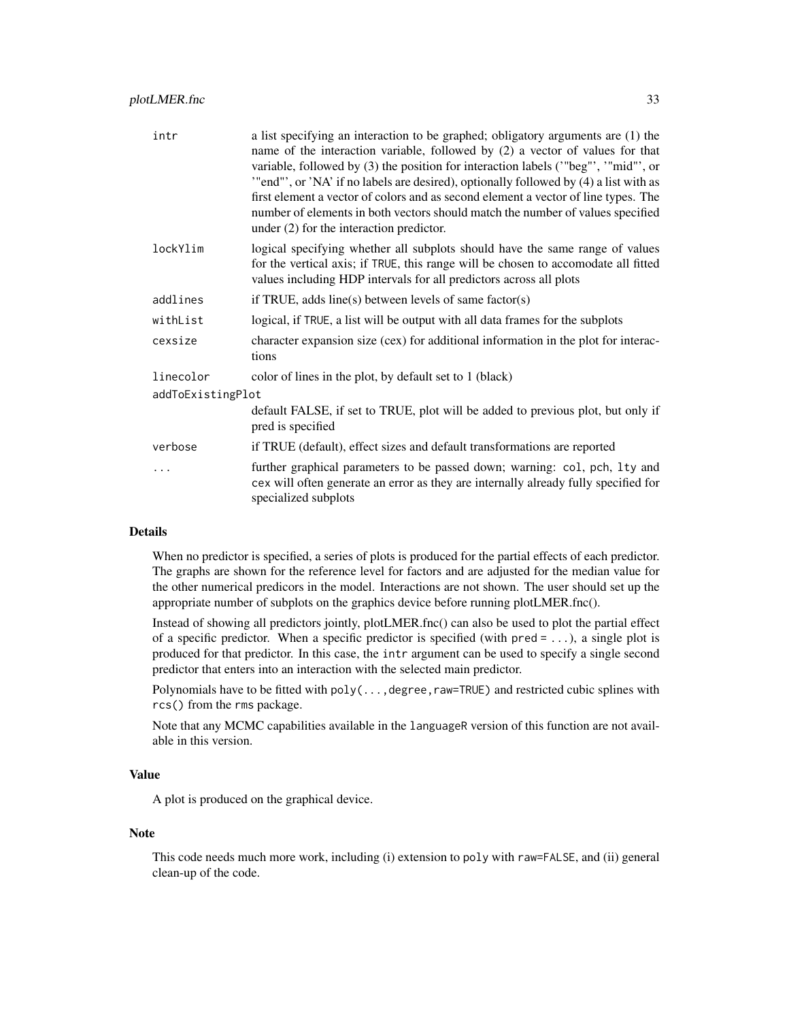| intr              | a list specifying an interaction to be graphed; obligatory arguments are (1) the<br>name of the interaction variable, followed by (2) a vector of values for that<br>variable, followed by (3) the position for interaction labels ("beg"', "mid"', or<br>"end"', or 'NA' if no labels are desired), optionally followed by (4) a list with as<br>first element a vector of colors and as second element a vector of line types. The<br>number of elements in both vectors should match the number of values specified<br>under $(2)$ for the interaction predictor. |  |
|-------------------|----------------------------------------------------------------------------------------------------------------------------------------------------------------------------------------------------------------------------------------------------------------------------------------------------------------------------------------------------------------------------------------------------------------------------------------------------------------------------------------------------------------------------------------------------------------------|--|
| lockYlim          | logical specifying whether all subplots should have the same range of values<br>for the vertical axis; if TRUE, this range will be chosen to accomodate all fitted<br>values including HDP intervals for all predictors across all plots                                                                                                                                                                                                                                                                                                                             |  |
| addlines          | if TRUE, adds line(s) between levels of same factor(s)                                                                                                                                                                                                                                                                                                                                                                                                                                                                                                               |  |
| withList          | logical, if TRUE, a list will be output with all data frames for the subplots                                                                                                                                                                                                                                                                                                                                                                                                                                                                                        |  |
| cexsize           | character expansion size (cex) for additional information in the plot for interac-<br>tions                                                                                                                                                                                                                                                                                                                                                                                                                                                                          |  |
| linecolor         | color of lines in the plot, by default set to 1 (black)                                                                                                                                                                                                                                                                                                                                                                                                                                                                                                              |  |
| addToExistingPlot |                                                                                                                                                                                                                                                                                                                                                                                                                                                                                                                                                                      |  |
|                   | default FALSE, if set to TRUE, plot will be added to previous plot, but only if<br>pred is specified                                                                                                                                                                                                                                                                                                                                                                                                                                                                 |  |
| verbose           | if TRUE (default), effect sizes and default transformations are reported                                                                                                                                                                                                                                                                                                                                                                                                                                                                                             |  |
| .                 | further graphical parameters to be passed down; warning: col, pch, lty and<br>cex will often generate an error as they are internally already fully specified for<br>specialized subplots                                                                                                                                                                                                                                                                                                                                                                            |  |

#### Details

When no predictor is specified, a series of plots is produced for the partial effects of each predictor. The graphs are shown for the reference level for factors and are adjusted for the median value for the other numerical predicors in the model. Interactions are not shown. The user should set up the appropriate number of subplots on the graphics device before running plotLMER.fnc().

Instead of showing all predictors jointly, plotLMER.fnc() can also be used to plot the partial effect of a specific predictor. When a specific predictor is specified (with  $pred = ...$ ), a single plot is produced for that predictor. In this case, the intr argument can be used to specify a single second predictor that enters into an interaction with the selected main predictor.

Polynomials have to be fitted with poly(..., degree, raw=TRUE) and restricted cubic splines with rcs() from the rms package.

Note that any MCMC capabilities available in the languageR version of this function are not available in this version.

#### Value

A plot is produced on the graphical device.

#### Note

This code needs much more work, including (i) extension to poly with raw=FALSE, and (ii) general clean-up of the code.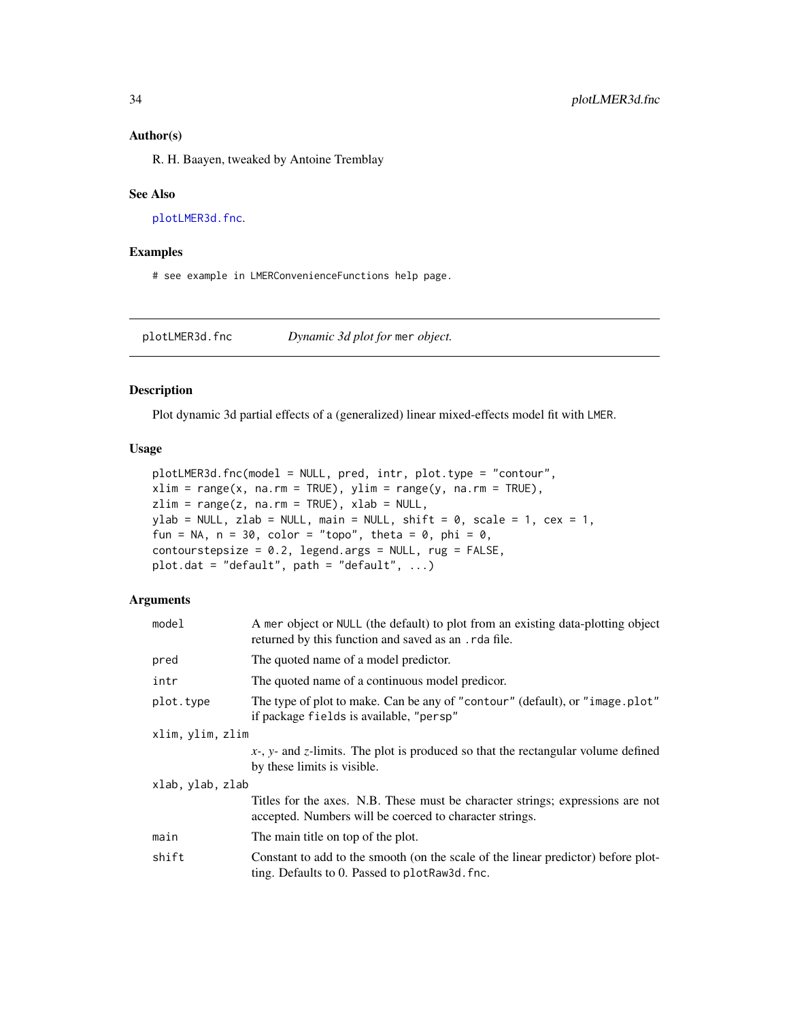### <span id="page-33-0"></span>Author(s)

R. H. Baayen, tweaked by Antoine Tremblay

#### See Also

[plotLMER3d.fnc](#page-33-1).

#### Examples

# see example in LMERConvenienceFunctions help page.

<span id="page-33-1"></span>plotLMER3d.fnc *Dynamic 3d plot for* mer *object.*

# Description

Plot dynamic 3d partial effects of a (generalized) linear mixed-effects model fit with LMER.

# Usage

```
plotLMER3d.fnc(model = NULL, pred, intr, plot.type = "contour",
xlim = range(x, na.rm = TRUE), ylim = range(y, na.rm = TRUE),zlim = range(z, na.rm = TRUE), xlab = NULL,ylab = NULL, zlab = NULL, main = NULL, shift = \theta, scale = 1, cex = 1,
fun = NA, n = 30, color = "topo", theta = 0, phi = 0,
contourstepsize = 0.2, legend.args = NULL, rug = FALSE,
plot.dat = "default", path = "default", \ldots)
```

| model            | A mer object or NULL (the default) to plot from an existing data-plotting object<br>returned by this function and saved as an . rda file. |  |
|------------------|-------------------------------------------------------------------------------------------------------------------------------------------|--|
| pred             | The quoted name of a model predictor.                                                                                                     |  |
| intr             | The quoted name of a continuous model predicor.                                                                                           |  |
| plot.type        | The type of plot to make. Can be any of "contour" (default), or "image.plot"<br>if package fields is available, "persp"                   |  |
| xlim, ylim, zlim |                                                                                                                                           |  |
|                  | $x$ -, y- and z-limits. The plot is produced so that the rectangular volume defined<br>by these limits is visible.                        |  |
| xlab, ylab, zlab |                                                                                                                                           |  |
|                  | Titles for the axes. N.B. These must be character strings; expressions are not<br>accepted. Numbers will be coerced to character strings. |  |
| main             | The main title on top of the plot.                                                                                                        |  |
| shift            | Constant to add to the smooth (on the scale of the linear predictor) before plot-<br>ting. Defaults to 0. Passed to plot Raw 3d. fnc.     |  |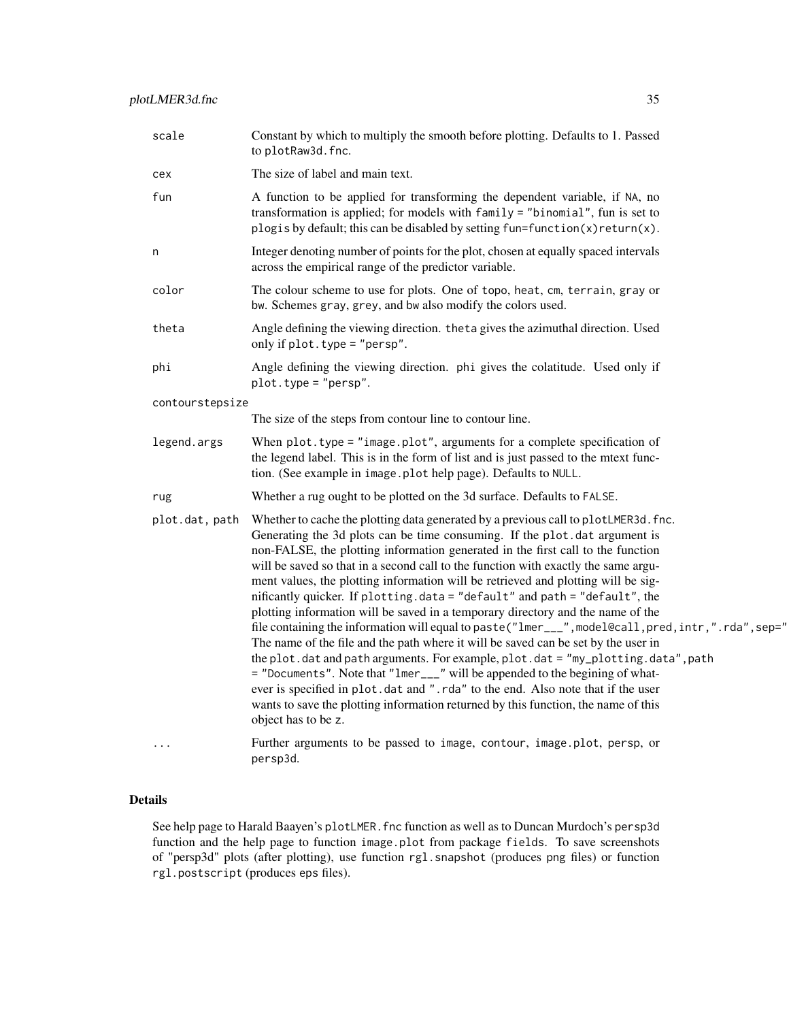| scale           | Constant by which to multiply the smooth before plotting. Defaults to 1. Passed<br>to plotRaw3d.fnc.                                                                                                                                                                                                                                                                                                                                                                                                                                                                                                                                                                                                                                                                                                                                                                                                                                                                                                                                                                                                                                                                |  |
|-----------------|---------------------------------------------------------------------------------------------------------------------------------------------------------------------------------------------------------------------------------------------------------------------------------------------------------------------------------------------------------------------------------------------------------------------------------------------------------------------------------------------------------------------------------------------------------------------------------------------------------------------------------------------------------------------------------------------------------------------------------------------------------------------------------------------------------------------------------------------------------------------------------------------------------------------------------------------------------------------------------------------------------------------------------------------------------------------------------------------------------------------------------------------------------------------|--|
| cex             | The size of label and main text.                                                                                                                                                                                                                                                                                                                                                                                                                                                                                                                                                                                                                                                                                                                                                                                                                                                                                                                                                                                                                                                                                                                                    |  |
| fun             | A function to be applied for transforming the dependent variable, if NA, no<br>transformation is applied; for models with family = "binomial", fun is set to<br>plogis by default; this can be disabled by setting fun=function(x) return(x).                                                                                                                                                                                                                                                                                                                                                                                                                                                                                                                                                                                                                                                                                                                                                                                                                                                                                                                       |  |
| n               | Integer denoting number of points for the plot, chosen at equally spaced intervals<br>across the empirical range of the predictor variable.                                                                                                                                                                                                                                                                                                                                                                                                                                                                                                                                                                                                                                                                                                                                                                                                                                                                                                                                                                                                                         |  |
| color           | The colour scheme to use for plots. One of topo, heat, cm, terrain, gray or<br>bw. Schemes gray, grey, and bw also modify the colors used.                                                                                                                                                                                                                                                                                                                                                                                                                                                                                                                                                                                                                                                                                                                                                                                                                                                                                                                                                                                                                          |  |
| theta           | Angle defining the viewing direction. theta gives the azimuthal direction. Used<br>only if plot. type = "persp".                                                                                                                                                                                                                                                                                                                                                                                                                                                                                                                                                                                                                                                                                                                                                                                                                                                                                                                                                                                                                                                    |  |
| phi             | Angle defining the viewing direction. phi gives the colatitude. Used only if<br>$plot. type = "person".$                                                                                                                                                                                                                                                                                                                                                                                                                                                                                                                                                                                                                                                                                                                                                                                                                                                                                                                                                                                                                                                            |  |
| contourstepsize |                                                                                                                                                                                                                                                                                                                                                                                                                                                                                                                                                                                                                                                                                                                                                                                                                                                                                                                                                                                                                                                                                                                                                                     |  |
|                 | The size of the steps from contour line to contour line.                                                                                                                                                                                                                                                                                                                                                                                                                                                                                                                                                                                                                                                                                                                                                                                                                                                                                                                                                                                                                                                                                                            |  |
| legend.args     | When $plot. type = "image.plot", arguments for a complete specification of$<br>the legend label. This is in the form of list and is just passed to the mtext func-<br>tion. (See example in image.plot help page). Defaults to NULL.                                                                                                                                                                                                                                                                                                                                                                                                                                                                                                                                                                                                                                                                                                                                                                                                                                                                                                                                |  |
| rug             | Whether a rug ought to be plotted on the 3d surface. Defaults to FALSE.                                                                                                                                                                                                                                                                                                                                                                                                                                                                                                                                                                                                                                                                                                                                                                                                                                                                                                                                                                                                                                                                                             |  |
| plot.dat, path  | Whether to cache the plotting data generated by a previous call to plotLMER3d. fnc.<br>Generating the 3d plots can be time consuming. If the plot dat argument is<br>non-FALSE, the plotting information generated in the first call to the function<br>will be saved so that in a second call to the function with exactly the same argu-<br>ment values, the plotting information will be retrieved and plotting will be sig-<br>mificantly quicker. If plotting.data = "default" and path = "default", the<br>plotting information will be saved in a temporary directory and the name of the<br>file containing the information will equal to paste ("lmer___", model@call, pred, intr,".rda", sep="<br>The name of the file and the path where it will be saved can be set by the user in<br>the plot.dat and path arguments. For example, plot.dat = "my_plotting.data", path<br>= "Documents". Note that "lmer___" will be appended to the begining of what-<br>ever is specified in plot.dat and ".rda" to the end. Also note that if the user<br>wants to save the plotting information returned by this function, the name of this<br>object has to be z. |  |
| $\cdots$        | Further arguments to be passed to image, contour, image.plot, persp, or<br>persp3d.                                                                                                                                                                                                                                                                                                                                                                                                                                                                                                                                                                                                                                                                                                                                                                                                                                                                                                                                                                                                                                                                                 |  |

# Details

See help page to Harald Baayen's plotLMER. fnc function as well as to Duncan Murdoch's persp3d function and the help page to function image.plot from package fields. To save screenshots of "persp3d" plots (after plotting), use function rgl.snapshot (produces png files) or function rgl.postscript (produces eps files).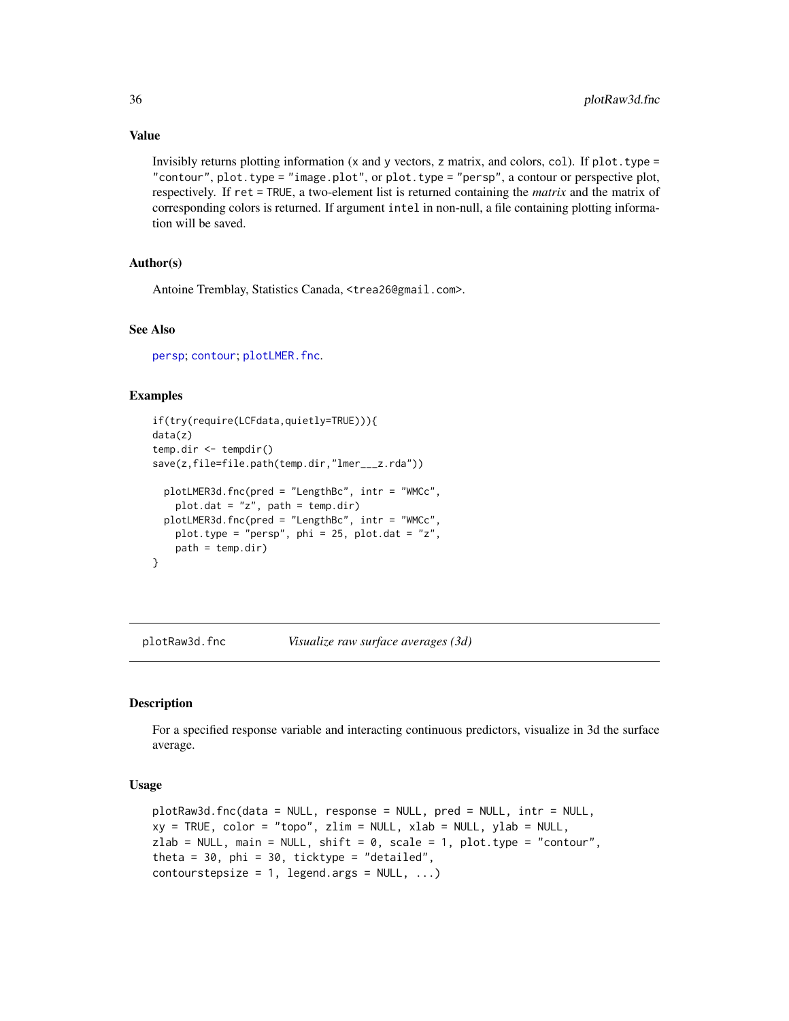Invisibly returns plotting information (x and y vectors, z matrix, and colors, col). If  $plot.type =$ "contour", plot.type = "image.plot", or plot.type = "persp", a contour or perspective plot, respectively. If ret = TRUE, a two-element list is returned containing the *matrix* and the matrix of corresponding colors is returned. If argument intel in non-null, a file containing plotting information will be saved.

# Author(s)

Antoine Tremblay, Statistics Canada, <trea26@gmail.com>.

#### See Also

[persp](#page-0-0); [contour](#page-0-0); [plotLMER.fnc](#page-31-1).

# Examples

```
if(try(require(LCFdata,quietly=TRUE))){
data(z)
temp.dir <- tempdir()
save(z,file=file.path(temp.dir,"lmer___z.rda"))
 plotLMER3d.fnc(pred = "LengthBc", intr = "WMCc",
   plot.dat = "z", path = temp.dir)
 plotLMER3d.fnc(pred = "LengthBc", intr = "WMCc",
   plot.type = "persp", phi = 25, plot.dat = "z",
   path = temp.dim}
```
<span id="page-35-1"></span>plotRaw3d.fnc *Visualize raw surface averages (3d)*

#### **Description**

For a specified response variable and interacting continuous predictors, visualize in 3d the surface average.

#### Usage

```
plotRaw3d.fnc(data = NULL, response = NULL, pred = NULL, intr = NULL,
xy = TRUE, color = "topo", zlim = NULL, xlab = NULL, ylab = NULL,
zlab = NULL, main = NULL, shift = 0, scale = 1, plot.type = "contour",
theta = 30, phi = 30, ticktype = "detailed",
contourstepsize = 1, legend.args = NULL, ...)
```
<span id="page-35-0"></span>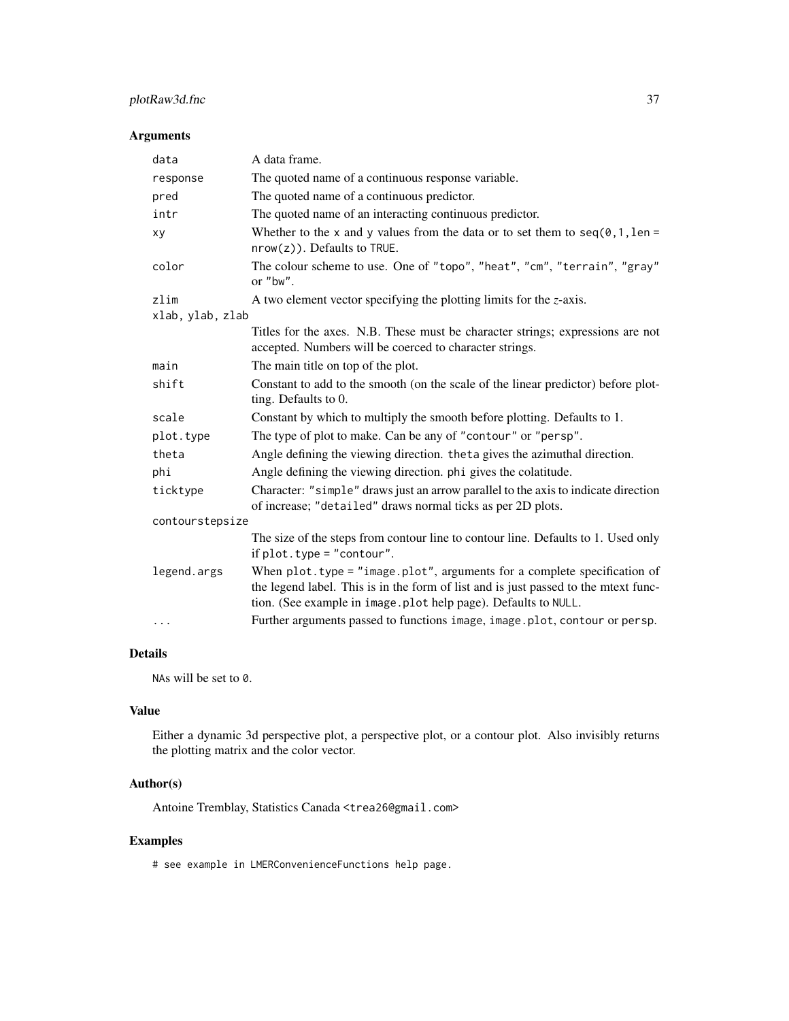# plotRaw3d.fnc 37

# Arguments

| data             | A data frame.                                                                                                                                                                                                                         |  |
|------------------|---------------------------------------------------------------------------------------------------------------------------------------------------------------------------------------------------------------------------------------|--|
| response         | The quoted name of a continuous response variable.                                                                                                                                                                                    |  |
| pred             | The quoted name of a continuous predictor.                                                                                                                                                                                            |  |
| intr             | The quoted name of an interacting continuous predictor.                                                                                                                                                                               |  |
| xy               | Whether to the x and y values from the data or to set them to $seq(0, 1, len =$<br>$nrow(z)$ ). Defaults to TRUE.                                                                                                                     |  |
| color            | The colour scheme to use. One of "topo", "heat", "cm", "terrain", "gray"<br>or "bw".                                                                                                                                                  |  |
| zlim             | A two element vector specifying the plotting limits for the $z$ -axis.                                                                                                                                                                |  |
| xlab, ylab, zlab |                                                                                                                                                                                                                                       |  |
|                  | Titles for the axes. N.B. These must be character strings; expressions are not<br>accepted. Numbers will be coerced to character strings.                                                                                             |  |
| main             | The main title on top of the plot.                                                                                                                                                                                                    |  |
| shift            | Constant to add to the smooth (on the scale of the linear predictor) before plot-<br>ting. Defaults to 0.                                                                                                                             |  |
| scale            | Constant by which to multiply the smooth before plotting. Defaults to 1.                                                                                                                                                              |  |
| plot.type        | The type of plot to make. Can be any of "contour" or "persp".                                                                                                                                                                         |  |
| theta            | Angle defining the viewing direction. theta gives the azimuthal direction.                                                                                                                                                            |  |
| phi              | Angle defining the viewing direction. phi gives the colatitude.                                                                                                                                                                       |  |
| ticktype         | Character: "simple" draws just an arrow parallel to the axis to indicate direction<br>of increase; "detailed" draws normal ticks as per 2D plots.                                                                                     |  |
| contourstepsize  |                                                                                                                                                                                                                                       |  |
|                  | The size of the steps from contour line to contour line. Defaults to 1. Used only<br>if $plot. type = "contour".$                                                                                                                     |  |
| legend.args      | When $plot. type = "image. plot", arguments for a complete specification of$<br>the legend label. This is in the form of list and is just passed to the mtext func-<br>tion. (See example in image.plot help page). Defaults to NULL. |  |
| $\cdots$         | Further arguments passed to functions image, image.plot, contour or persp.                                                                                                                                                            |  |

# Details

NAs will be set to 0.

# Value

Either a dynamic 3d perspective plot, a perspective plot, or a contour plot. Also invisibly returns the plotting matrix and the color vector.

# Author(s)

Antoine Tremblay, Statistics Canada <trea26@gmail.com>

# Examples

# see example in LMERConvenienceFunctions help page.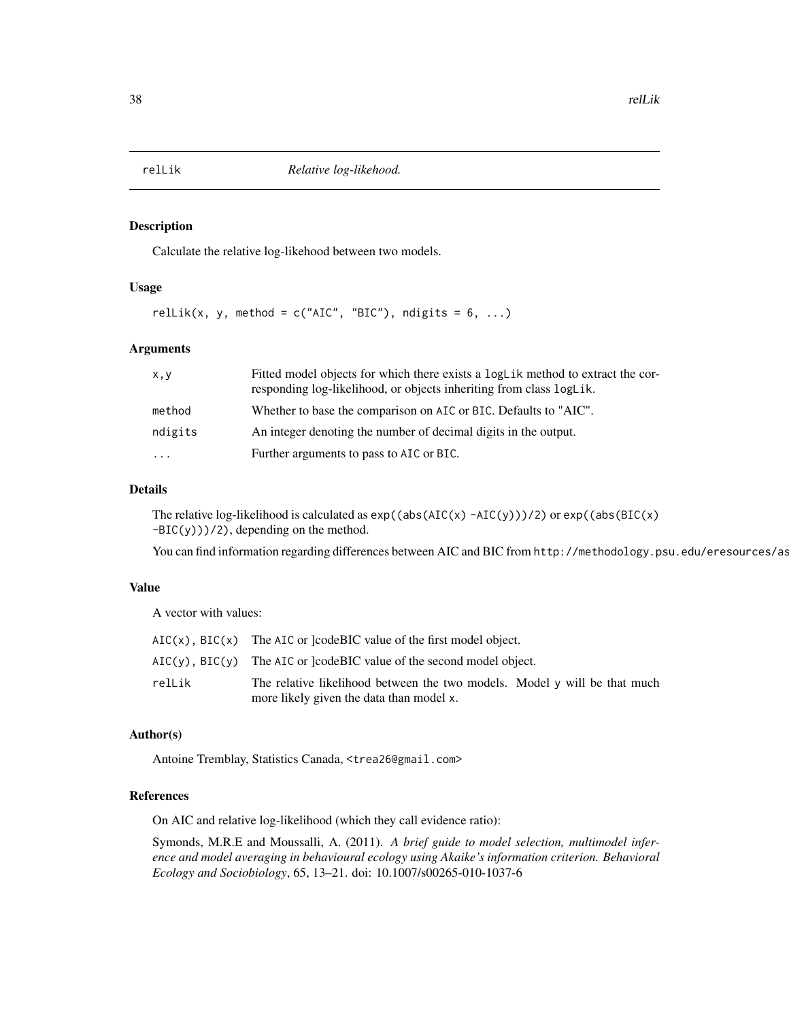<span id="page-37-1"></span><span id="page-37-0"></span>

# Description

Calculate the relative log-likehood between two models.

#### Usage

relLik(x, y, method =  $c("AIC", "BIC")$ , ndigits = 6, ...)

#### Arguments

| x, y     | Fitted model objects for which there exists a logLik method to extract the cor-<br>responding log-likelihood, or objects inheriting from class logLik. |
|----------|--------------------------------------------------------------------------------------------------------------------------------------------------------|
| method   | Whether to base the comparison on AIC or BIC. Defaults to "AIC".                                                                                       |
| ndigits  | An integer denoting the number of decimal digits in the output.                                                                                        |
| $\cdots$ | Further arguments to pass to AIC or BIC.                                                                                                               |

# Details

The relative log-likelihood is calculated as  $exp((abs(ALC(x) - AIC(y)))/2)$  or  $exp((abs(BIC(x)$  $-BIC(y))$ /2), depending on the method.

You can find information regarding differences between AIC and BIC from http://methodology.psu.edu/eresources/as

# Value

A vector with values:

|        | $AIC(x)$ , BIC(x) The AIC or [codeBIC value of the first model object.           |
|--------|----------------------------------------------------------------------------------|
|        | $AIC(y)$ , BIC(y) The AIC or lcode BIC value of the second model object.         |
| relLik | The relative likelihood between the two models. Model $\gamma$ will be that much |
|        | more likely given the data than model x.                                         |

# Author(s)

Antoine Tremblay, Statistics Canada, <trea26@gmail.com>

# References

On AIC and relative log-likelihood (which they call evidence ratio):

Symonds, M.R.E and Moussalli, A. (2011). *A brief guide to model selection, multimodel inference and model averaging in behavioural ecology using Akaike's information criterion. Behavioral Ecology and Sociobiology*, 65, 13–21. doi: 10.1007/s00265-010-1037-6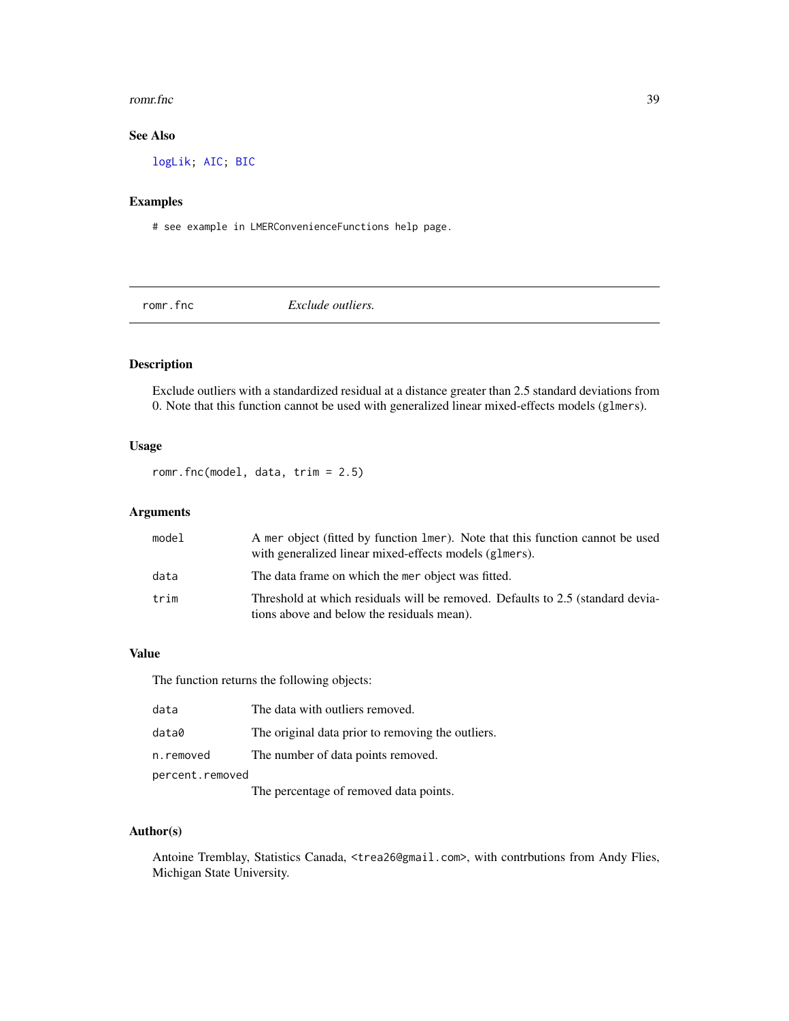#### <span id="page-38-0"></span>romr.fnc 39

# See Also

[logLik;](#page-0-0) [AIC;](#page-0-0) [BIC](#page-0-0)

# Examples

# see example in LMERConvenienceFunctions help page.

<span id="page-38-1"></span>romr.fnc *Exclude outliers.*

# Description

Exclude outliers with a standardized residual at a distance greater than 2.5 standard deviations from 0. Note that this function cannot be used with generalized linear mixed-effects models (glmers).

# Usage

romr.fnc(model, data, trim = 2.5)

# Arguments

| model | A mer object (fitted by function lmer). Note that this function cannot be used<br>with generalized linear mixed-effects models (glmers). |
|-------|------------------------------------------------------------------------------------------------------------------------------------------|
| data  | The data frame on which the mer object was fitted.                                                                                       |
| trim  | Threshold at which residuals will be removed. Defaults to 2.5 (standard devia-<br>tions above and below the residuals mean).             |

# Value

The function returns the following objects:

| data            | The data with outliers removed.                   |  |
|-----------------|---------------------------------------------------|--|
| data0           | The original data prior to removing the outliers. |  |
| n.removed       | The number of data points removed.                |  |
| percent.removed |                                                   |  |
|                 | The percentage of removed data points.            |  |

# Author(s)

Antoine Tremblay, Statistics Canada, <trea26@gmail.com>, with contrbutions from Andy Flies, Michigan State University.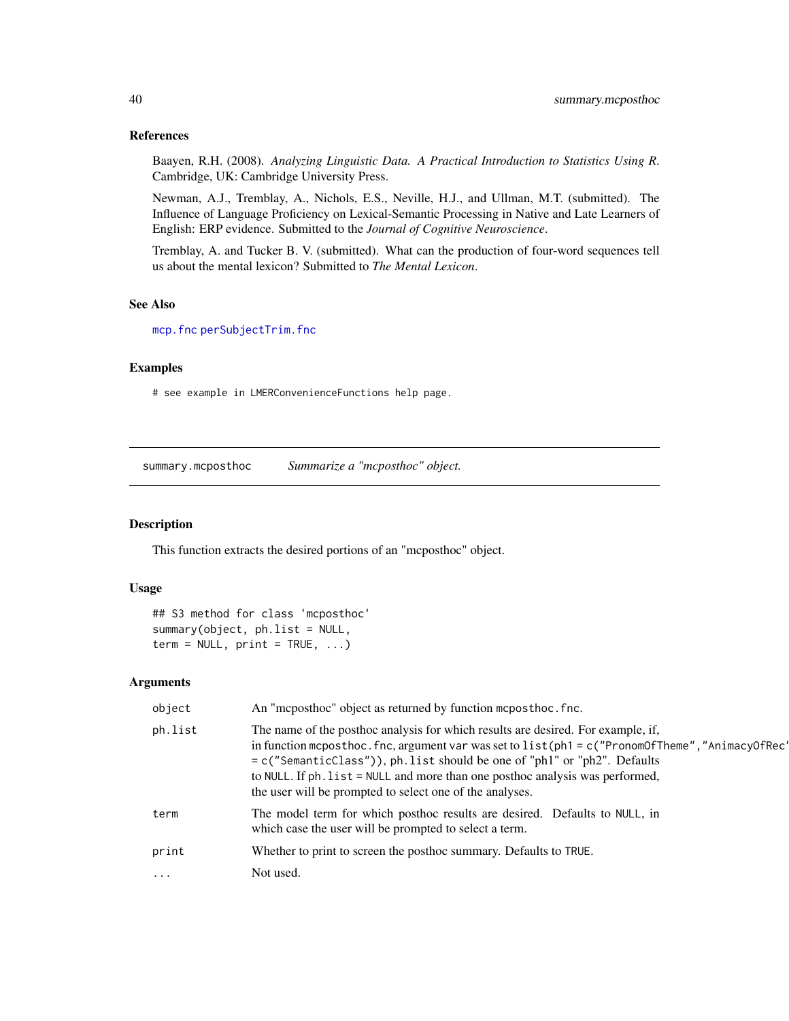# References

Baayen, R.H. (2008). *Analyzing Linguistic Data. A Practical Introduction to Statistics Using R*. Cambridge, UK: Cambridge University Press.

Newman, A.J., Tremblay, A., Nichols, E.S., Neville, H.J., and Ullman, M.T. (submitted). The Influence of Language Proficiency on Lexical-Semantic Processing in Native and Late Learners of English: ERP evidence. Submitted to the *Journal of Cognitive Neuroscience*.

Tremblay, A. and Tucker B. V. (submitted). What can the production of four-word sequences tell us about the mental lexicon? Submitted to *The Mental Lexicon*.

# See Also

[mcp.fnc](#page-22-1) [perSubjectTrim.fnc](#page-28-1)

# Examples

# see example in LMERConvenienceFunctions help page.

<span id="page-39-1"></span>summary.mcposthoc *Summarize a "mcposthoc" object.*

# Description

This function extracts the desired portions of an "mcposthoc" object.

#### Usage

## S3 method for class 'mcposthoc' summary(object, ph.list = NULL,  $term = NULL, print = TRUE, ...)$ 

| object     | An "mcposthoc" object as returned by function mcposthoc.fnc.                                                                                                                                                                                                                                                                                                                                                            |
|------------|-------------------------------------------------------------------------------------------------------------------------------------------------------------------------------------------------------------------------------------------------------------------------------------------------------------------------------------------------------------------------------------------------------------------------|
| ph.list    | The name of the posthoc analysis for which results are desired. For example, if,<br>in function mcposthoc. fnc, argument var was set to $list(\text{ph1} = c("PronomOffhome", "AnimacyOfRec")$<br>= c("SemanticClass")), ph.list should be one of "ph1" or "ph2". Defaults<br>to NULL. If ph. list = NULL and more than one posthoc analysis was performed,<br>the user will be prompted to select one of the analyses. |
| term       | The model term for which posthoc results are desired. Defaults to NULL, in<br>which case the user will be prompted to select a term.                                                                                                                                                                                                                                                                                    |
| print      | Whether to print to screen the posthoc summary. Defaults to TRUE.                                                                                                                                                                                                                                                                                                                                                       |
| $\ddots$ . | Not used.                                                                                                                                                                                                                                                                                                                                                                                                               |

<span id="page-39-0"></span>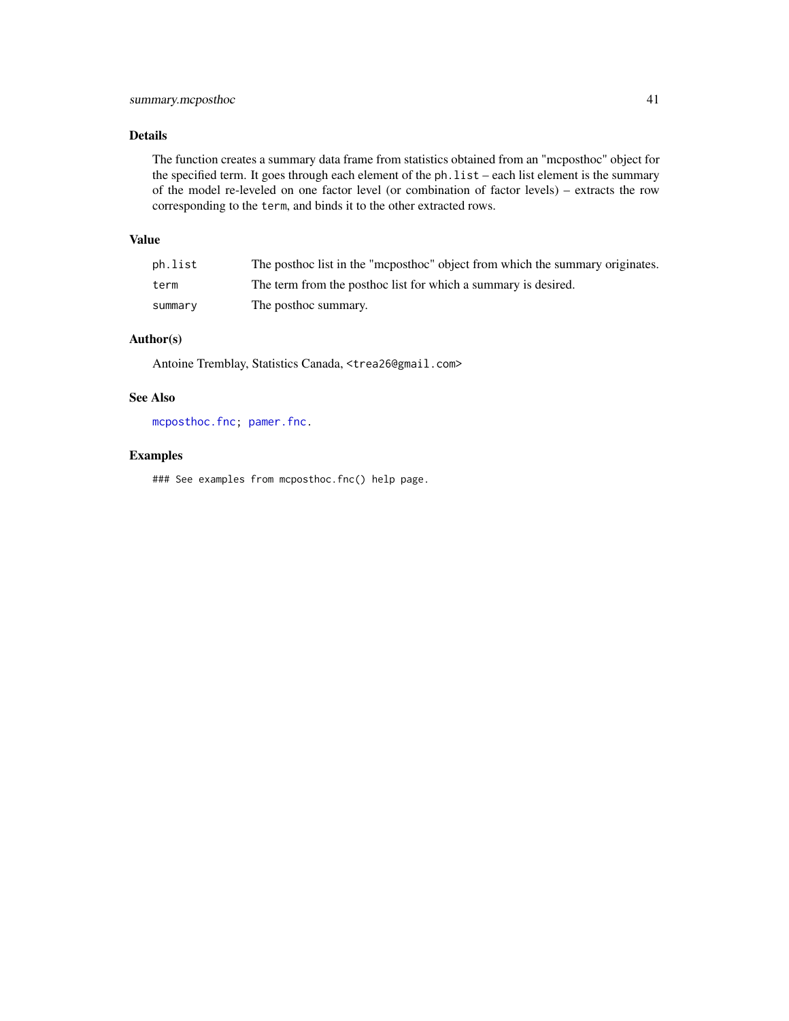# <span id="page-40-0"></span>Details

The function creates a summary data frame from statistics obtained from an "mcposthoc" object for the specified term. It goes through each element of the ph.list – each list element is the summary of the model re-leveled on one factor level (or combination of factor levels) – extracts the row corresponding to the term, and binds it to the other extracted rows.

# Value

| ph.list | The posthoc list in the "mcposthoc" object from which the summary originates. |
|---------|-------------------------------------------------------------------------------|
| term    | The term from the posthoc list for which a summary is desired.                |
| summary | The posthoc summary.                                                          |

# Author(s)

Antoine Tremblay, Statistics Canada, <trea26@gmail.com>

# See Also

[mcposthoc.fnc;](#page-23-1) [pamer.fnc.](#page-27-1)

# Examples

### See examples from mcposthoc.fnc() help page.